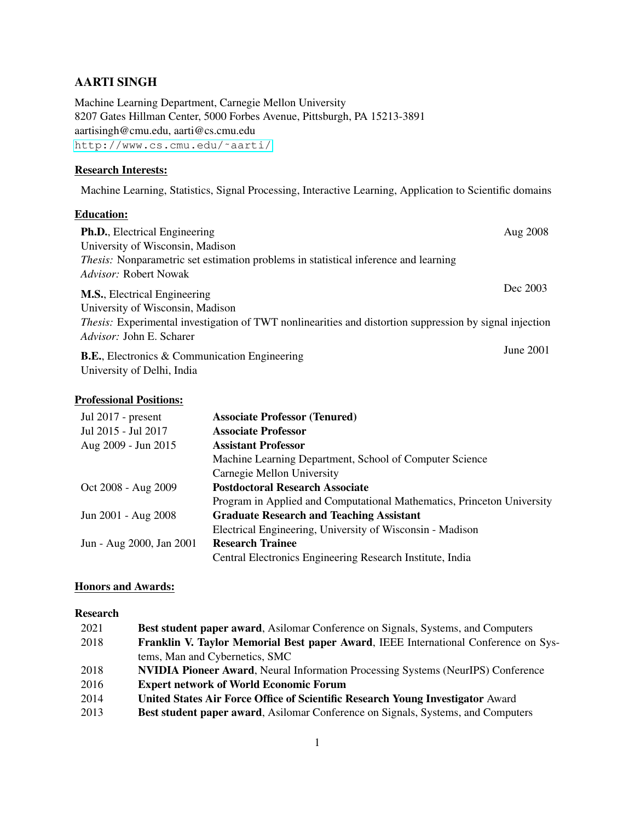# AARTI SINGH

Machine Learning Department, Carnegie Mellon University 8207 Gates Hillman Center, 5000 Forbes Avenue, Pittsburgh, PA 15213-3891 aartisingh@cmu.edu, aarti@cs.cmu.edu [http://www.cs.cmu.edu/˜aarti/](http://www.cs.cmu.edu/~aarti/)

#### Research Interests:

Machine Learning, Statistics, Signal Processing, Interactive Learning, Application to Scientific domains

# Education:

| <b>Ph.D.</b> , Electrical Engineering                                                                          | Aug 2008  |
|----------------------------------------------------------------------------------------------------------------|-----------|
| University of Wisconsin, Madison                                                                               |           |
| <i>Thesis:</i> Nonparametric set estimation problems in statistical inference and learning                     |           |
| <i>Advisor:</i> Robert Nowak                                                                                   |           |
| <b>M.S.</b> , Electrical Engineering                                                                           | Dec 2003  |
| University of Wisconsin, Madison                                                                               |           |
| <i>Thesis:</i> Experimental investigation of TWT nonlinearities and distortion suppression by signal injection |           |
| <i>Advisor:</i> John E. Scharer                                                                                |           |
| <b>B.E.</b> , Electronics & Communication Engineering                                                          | June 2001 |

University of Delhi, India

# Professional Positions:

| <b>Associate Professor (Tenured)</b>                                   |
|------------------------------------------------------------------------|
| <b>Associate Professor</b>                                             |
| <b>Assistant Professor</b>                                             |
| Machine Learning Department, School of Computer Science                |
| Carnegie Mellon University                                             |
| <b>Postdoctoral Research Associate</b>                                 |
| Program in Applied and Computational Mathematics, Princeton University |
| <b>Graduate Research and Teaching Assistant</b>                        |
| Electrical Engineering, University of Wisconsin - Madison              |
| <b>Research Trainee</b>                                                |
| Central Electronics Engineering Research Institute, India              |
|                                                                        |

# Honors and Awards:

# Research

| 2021 | <b>Best student paper award, Asilomar Conference on Signals, Systems, and Computers</b> |
|------|-----------------------------------------------------------------------------------------|
| 2018 | Franklin V. Taylor Memorial Best paper Award, IEEE International Conference on Sys-     |
|      | tems, Man and Cybernetics, SMC                                                          |
| 2018 | <b>NVIDIA Pioneer Award, Neural Information Processing Systems (NeurIPS) Conference</b> |
| 2016 | <b>Expert network of World Economic Forum</b>                                           |
| 2014 | United States Air Force Office of Scientific Research Young Investigator Award          |
| 2013 | <b>Best student paper award, Asilomar Conference on Signals, Systems, and Computers</b> |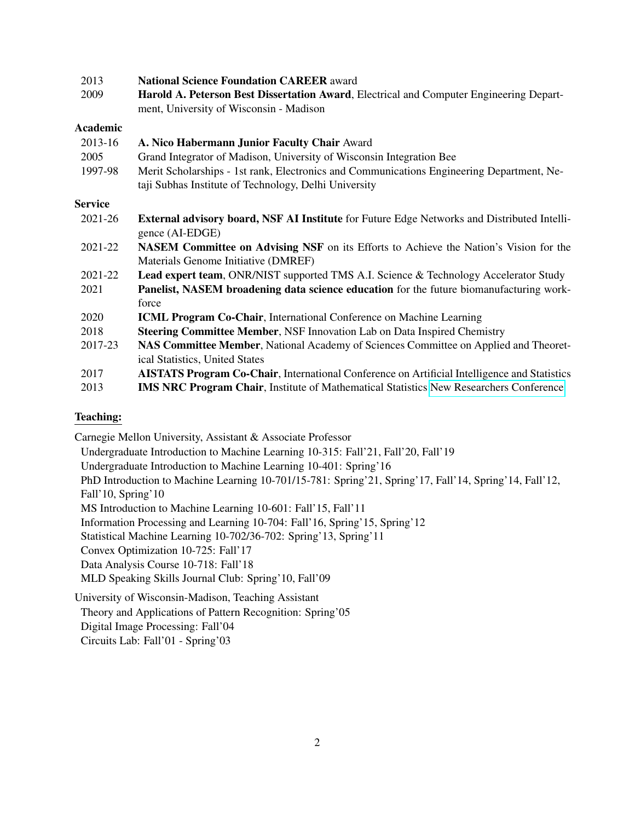| 2013            | <b>National Science Foundation CAREER award</b>                                                     |
|-----------------|-----------------------------------------------------------------------------------------------------|
| 2009            | Harold A. Peterson Best Dissertation Award, Electrical and Computer Engineering Depart-             |
|                 | ment, University of Wisconsin - Madison                                                             |
| <b>Academic</b> |                                                                                                     |
| 2013-16         | A. Nico Habermann Junior Faculty Chair Award                                                        |
| 2005            | Grand Integrator of Madison, University of Wisconsin Integration Bee                                |
| 1997-98         | Merit Scholarships - 1st rank, Electronics and Communications Engineering Department, Ne-           |
|                 | taji Subhas Institute of Technology, Delhi University                                               |
| <b>Service</b>  |                                                                                                     |
| 2021-26         | <b>External advisory board, NSF AI Institute</b> for Future Edge Networks and Distributed Intelli-  |
|                 | gence (AI-EDGE)                                                                                     |
| 2021-22         | <b>NASEM Committee on Advising NSF</b> on its Efforts to Achieve the Nation's Vision for the        |
|                 | Materials Genome Initiative (DMREF)                                                                 |
| 2021-22         | <b>Lead expert team, ONR/NIST supported TMS A.I. Science &amp; Technology Accelerator Study</b>     |
| 2021            | Panelist, NASEM broadening data science education for the future biomanufacturing work-             |
|                 | force                                                                                               |
| 2020            | <b>ICML Program Co-Chair, International Conference on Machine Learning</b>                          |
| 2018            | <b>Steering Committee Member, NSF Innovation Lab on Data Inspired Chemistry</b>                     |
| 2017-23         | NAS Committee Member, National Academy of Sciences Committee on Applied and Theoret-                |
|                 | ical Statistics, United States                                                                      |
| 2017            | <b>AISTATS Program Co-Chair, International Conference on Artificial Intelligence and Statistics</b> |
| 2013            | <b>IMS NRC Program Chair, Institute of Mathematical Statistics New Researchers Conference</b>       |

### Teaching:

Carnegie Mellon University, Assistant & Associate Professor

Undergraduate Introduction to Machine Learning 10-315: Fall'21, Fall'20, Fall'19

Undergraduate Introduction to Machine Learning 10-401: Spring'16

PhD Introduction to Machine Learning 10-701/15-781: Spring'21, Spring'17, Fall'14, Spring'14, Fall'12, Fall'10, Spring'10

MS Introduction to Machine Learning 10-601: Fall'15, Fall'11

Information Processing and Learning 10-704: Fall'16, Spring'15, Spring'12

Statistical Machine Learning 10-702/36-702: Spring'13, Spring'11

Convex Optimization 10-725: Fall'17

Data Analysis Course 10-718: Fall'18

MLD Speaking Skills Journal Club: Spring'10, Fall'09

University of Wisconsin-Madison, Teaching Assistant Theory and Applications of Pattern Recognition: Spring'05 Digital Image Processing: Fall'04 Circuits Lab: Fall'01 - Spring'03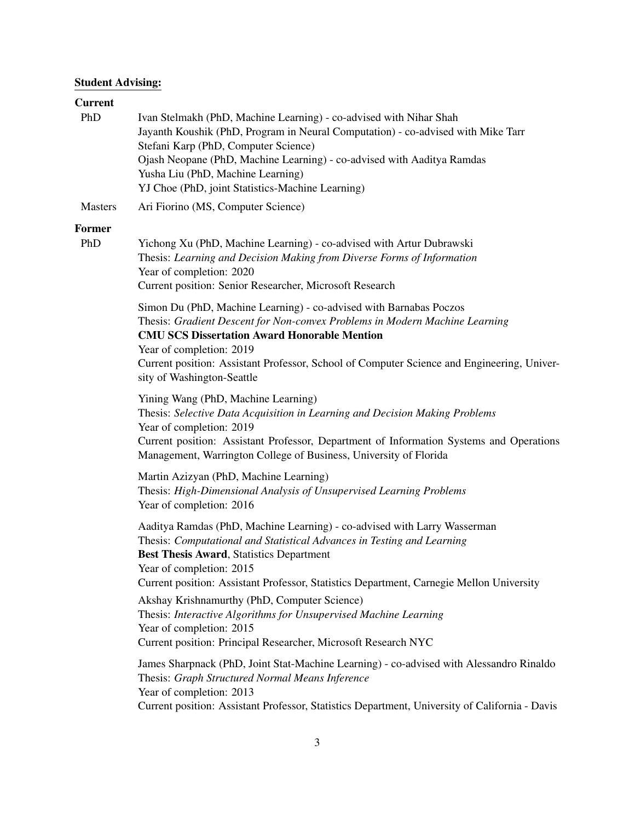# Student Advising:

# Current

| PhD                  | Ivan Stelmakh (PhD, Machine Learning) - co-advised with Nihar Shah<br>Jayanth Koushik (PhD, Program in Neural Computation) - co-advised with Mike Tarr<br>Stefani Karp (PhD, Computer Science)<br>Ojash Neopane (PhD, Machine Learning) - co-advised with Aaditya Ramdas<br>Yusha Liu (PhD, Machine Learning)<br>YJ Choe (PhD, joint Statistics-Machine Learning) |
|----------------------|-------------------------------------------------------------------------------------------------------------------------------------------------------------------------------------------------------------------------------------------------------------------------------------------------------------------------------------------------------------------|
| <b>Masters</b>       | Ari Fiorino (MS, Computer Science)                                                                                                                                                                                                                                                                                                                                |
| <b>Former</b><br>PhD | Yichong Xu (PhD, Machine Learning) - co-advised with Artur Dubrawski<br>Thesis: Learning and Decision Making from Diverse Forms of Information<br>Year of completion: 2020<br>Current position: Senior Researcher, Microsoft Research                                                                                                                             |
|                      | Simon Du (PhD, Machine Learning) - co-advised with Barnabas Poczos<br>Thesis: Gradient Descent for Non-convex Problems in Modern Machine Learning<br><b>CMU SCS Dissertation Award Honorable Mention</b><br>Year of completion: 2019<br>Current position: Assistant Professor, School of Computer Science and Engineering, Univer-<br>sity of Washington-Seattle  |
|                      | Yining Wang (PhD, Machine Learning)<br>Thesis: Selective Data Acquisition in Learning and Decision Making Problems<br>Year of completion: 2019<br>Current position: Assistant Professor, Department of Information Systems and Operations<br>Management, Warrington College of Business, University of Florida                                                    |
|                      | Martin Azizyan (PhD, Machine Learning)<br>Thesis: High-Dimensional Analysis of Unsupervised Learning Problems<br>Year of completion: 2016                                                                                                                                                                                                                         |
|                      | Aaditya Ramdas (PhD, Machine Learning) - co-advised with Larry Wasserman<br>Thesis: Computational and Statistical Advances in Testing and Learning<br><b>Best Thesis Award, Statistics Department</b><br>Year of completion: 2015<br>Current position: Assistant Professor, Statistics Department, Carnegie Mellon University                                     |
|                      | Akshay Krishnamurthy (PhD, Computer Science)<br>Thesis: Interactive Algorithms for Unsupervised Machine Learning<br>Year of completion: 2015<br>Current position: Principal Researcher, Microsoft Research NYC                                                                                                                                                    |
|                      | James Sharpnack (PhD, Joint Stat-Machine Learning) - co-advised with Alessandro Rinaldo<br>Thesis: Graph Structured Normal Means Inference<br>Year of completion: 2013<br>Current position: Assistant Professor, Statistics Department, University of California - Davis                                                                                          |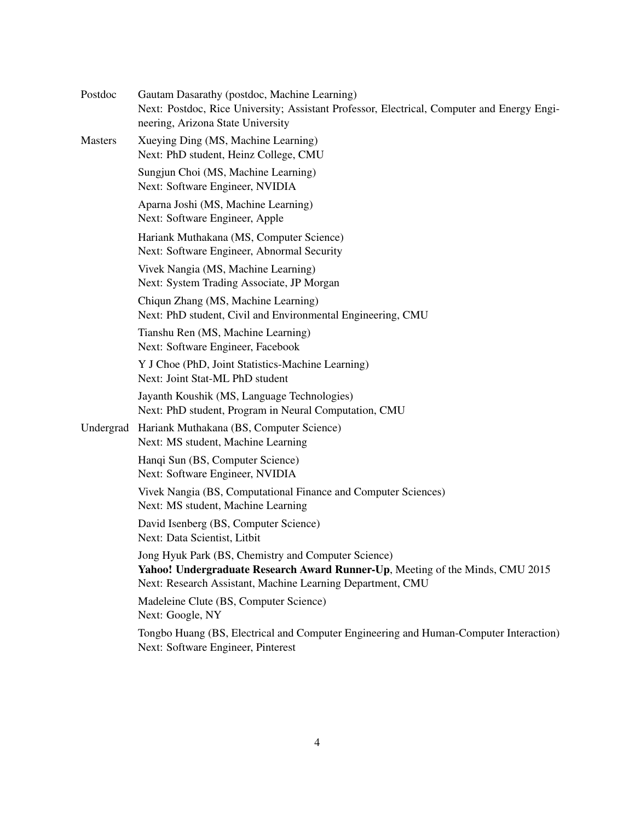| Postdoc        | Gautam Dasarathy (postdoc, Machine Learning)<br>Next: Postdoc, Rice University; Assistant Professor, Electrical, Computer and Energy Engi-<br>neering, Arizona State University                    |
|----------------|----------------------------------------------------------------------------------------------------------------------------------------------------------------------------------------------------|
| <b>Masters</b> | Xueying Ding (MS, Machine Learning)<br>Next: PhD student, Heinz College, CMU                                                                                                                       |
|                | Sungjun Choi (MS, Machine Learning)<br>Next: Software Engineer, NVIDIA                                                                                                                             |
|                | Aparna Joshi (MS, Machine Learning)<br>Next: Software Engineer, Apple                                                                                                                              |
|                | Hariank Muthakana (MS, Computer Science)<br>Next: Software Engineer, Abnormal Security                                                                                                             |
|                | Vivek Nangia (MS, Machine Learning)<br>Next: System Trading Associate, JP Morgan                                                                                                                   |
|                | Chiqun Zhang (MS, Machine Learning)<br>Next: PhD student, Civil and Environmental Engineering, CMU                                                                                                 |
|                | Tianshu Ren (MS, Machine Learning)<br>Next: Software Engineer, Facebook                                                                                                                            |
|                | Y J Choe (PhD, Joint Statistics-Machine Learning)<br>Next: Joint Stat-ML PhD student                                                                                                               |
|                | Jayanth Koushik (MS, Language Technologies)<br>Next: PhD student, Program in Neural Computation, CMU                                                                                               |
| Undergrad      | Hariank Muthakana (BS, Computer Science)<br>Next: MS student, Machine Learning                                                                                                                     |
|                | Hanqi Sun (BS, Computer Science)<br>Next: Software Engineer, NVIDIA                                                                                                                                |
|                | Vivek Nangia (BS, Computational Finance and Computer Sciences)<br>Next: MS student, Machine Learning                                                                                               |
|                | David Isenberg (BS, Computer Science)<br>Next: Data Scientist, Litbit                                                                                                                              |
|                | Jong Hyuk Park (BS, Chemistry and Computer Science)<br>Yahoo! Undergraduate Research Award Runner-Up, Meeting of the Minds, CMU 2015<br>Next: Research Assistant, Machine Learning Department, CMU |
|                | Madeleine Clute (BS, Computer Science)<br>Next: Google, NY                                                                                                                                         |
|                | Tongbo Huang (BS, Electrical and Computer Engineering and Human-Computer Interaction)<br>Next: Software Engineer, Pinterest                                                                        |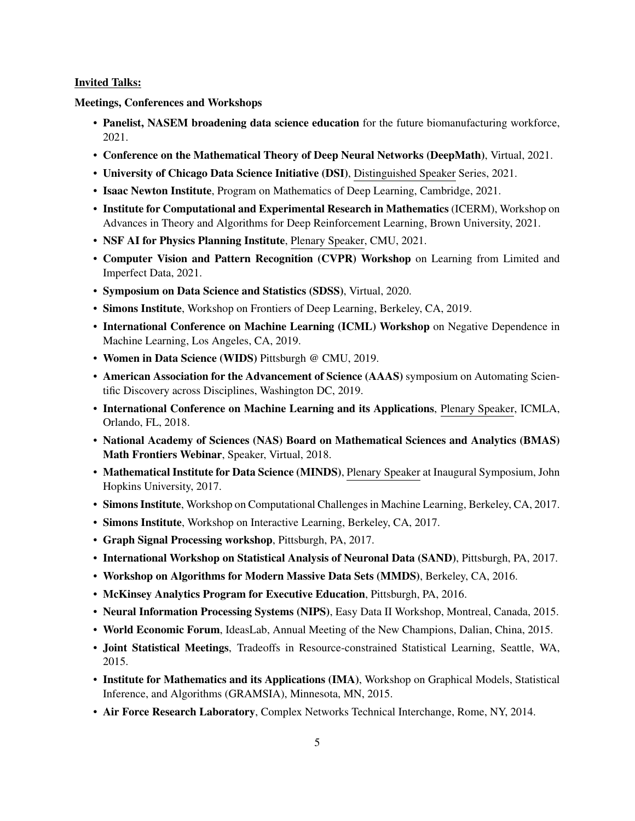#### Invited Talks:

Meetings, Conferences and Workshops

- Panelist, NASEM broadening data science education for the future biomanufacturing workforce, 2021.
- Conference on the Mathematical Theory of Deep Neural Networks (DeepMath), Virtual, 2021.
- University of Chicago Data Science Initiative (DSI), Distinguished Speaker Series, 2021.
- Isaac Newton Institute, Program on Mathematics of Deep Learning, Cambridge, 2021.
- Institute for Computational and Experimental Research in Mathematics (ICERM), Workshop on Advances in Theory and Algorithms for Deep Reinforcement Learning, Brown University, 2021.
- NSF AI for Physics Planning Institute, Plenary Speaker, CMU, 2021.
- Computer Vision and Pattern Recognition (CVPR) Workshop on Learning from Limited and Imperfect Data, 2021.
- Symposium on Data Science and Statistics (SDSS), Virtual, 2020.
- Simons Institute, Workshop on Frontiers of Deep Learning, Berkeley, CA, 2019.
- International Conference on Machine Learning (ICML) Workshop on Negative Dependence in Machine Learning, Los Angeles, CA, 2019.
- Women in Data Science (WIDS) Pittsburgh @ CMU, 2019.
- American Association for the Advancement of Science (AAAS) symposium on Automating Scientific Discovery across Disciplines, Washington DC, 2019.
- International Conference on Machine Learning and its Applications, Plenary Speaker, ICMLA, Orlando, FL, 2018.
- National Academy of Sciences (NAS) Board on Mathematical Sciences and Analytics (BMAS) Math Frontiers Webinar, Speaker, Virtual, 2018.
- Mathematical Institute for Data Science (MINDS), Plenary Speaker at Inaugural Symposium, John Hopkins University, 2017.
- Simons Institute, Workshop on Computational Challenges in Machine Learning, Berkeley, CA, 2017.
- Simons Institute, Workshop on Interactive Learning, Berkeley, CA, 2017.
- Graph Signal Processing workshop, Pittsburgh, PA, 2017.
- International Workshop on Statistical Analysis of Neuronal Data (SAND), Pittsburgh, PA, 2017.
- Workshop on Algorithms for Modern Massive Data Sets (MMDS), Berkeley, CA, 2016.
- McKinsey Analytics Program for Executive Education, Pittsburgh, PA, 2016.
- Neural Information Processing Systems (NIPS), Easy Data II Workshop, Montreal, Canada, 2015.
- World Economic Forum, IdeasLab, Annual Meeting of the New Champions, Dalian, China, 2015.
- Joint Statistical Meetings, Tradeoffs in Resource-constrained Statistical Learning, Seattle, WA, 2015.
- Institute for Mathematics and its Applications (IMA), Workshop on Graphical Models, Statistical Inference, and Algorithms (GRAMSIA), Minnesota, MN, 2015.
- Air Force Research Laboratory, Complex Networks Technical Interchange, Rome, NY, 2014.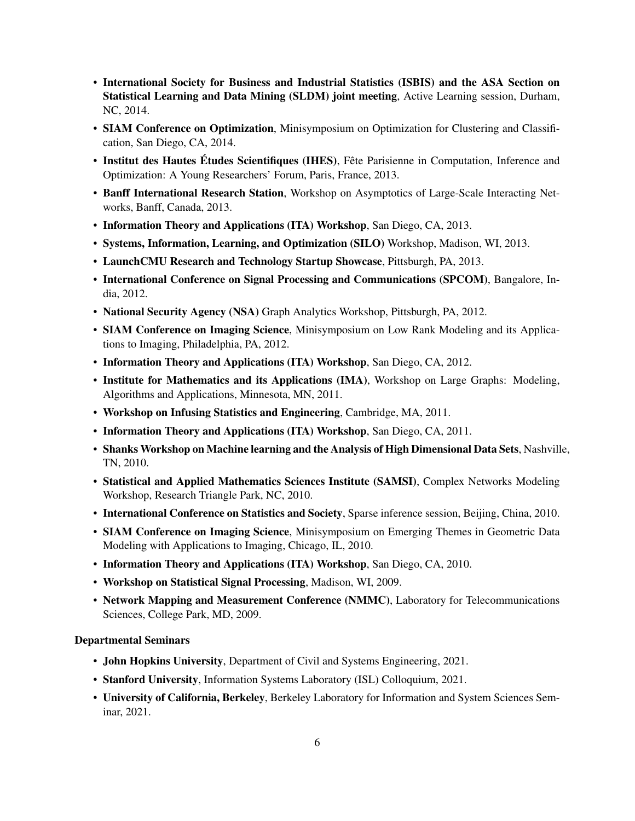- International Society for Business and Industrial Statistics (ISBIS) and the ASA Section on Statistical Learning and Data Mining (SLDM) joint meeting, Active Learning session, Durham, NC, 2014.
- SIAM Conference on Optimization, Minisymposium on Optimization for Clustering and Classification, San Diego, CA, 2014.
- Institut des Hautes Études Scientifiques (IHES), Fête Parisienne in Computation, Inference and Optimization: A Young Researchers' Forum, Paris, France, 2013.
- Banff International Research Station, Workshop on Asymptotics of Large-Scale Interacting Networks, Banff, Canada, 2013.
- Information Theory and Applications (ITA) Workshop, San Diego, CA, 2013.
- Systems, Information, Learning, and Optimization (SILO) Workshop, Madison, WI, 2013.
- LaunchCMU Research and Technology Startup Showcase, Pittsburgh, PA, 2013.
- International Conference on Signal Processing and Communications (SPCOM), Bangalore, India, 2012.
- National Security Agency (NSA) Graph Analytics Workshop, Pittsburgh, PA, 2012.
- SIAM Conference on Imaging Science, Minisymposium on Low Rank Modeling and its Applications to Imaging, Philadelphia, PA, 2012.
- Information Theory and Applications (ITA) Workshop, San Diego, CA, 2012.
- Institute for Mathematics and its Applications (IMA), Workshop on Large Graphs: Modeling, Algorithms and Applications, Minnesota, MN, 2011.
- Workshop on Infusing Statistics and Engineering, Cambridge, MA, 2011.
- Information Theory and Applications (ITA) Workshop, San Diego, CA, 2011.
- Shanks Workshop on Machine learning and the Analysis of High Dimensional Data Sets, Nashville, TN, 2010.
- Statistical and Applied Mathematics Sciences Institute (SAMSI), Complex Networks Modeling Workshop, Research Triangle Park, NC, 2010.
- International Conference on Statistics and Society, Sparse inference session, Beijing, China, 2010.
- SIAM Conference on Imaging Science, Minisymposium on Emerging Themes in Geometric Data Modeling with Applications to Imaging, Chicago, IL, 2010.
- Information Theory and Applications (ITA) Workshop, San Diego, CA, 2010.
- Workshop on Statistical Signal Processing, Madison, WI, 2009.
- Network Mapping and Measurement Conference (NMMC), Laboratory for Telecommunications Sciences, College Park, MD, 2009.

#### Departmental Seminars

- John Hopkins University, Department of Civil and Systems Engineering, 2021.
- Stanford University, Information Systems Laboratory (ISL) Colloquium, 2021.
- University of California, Berkeley, Berkeley Laboratory for Information and System Sciences Seminar, 2021.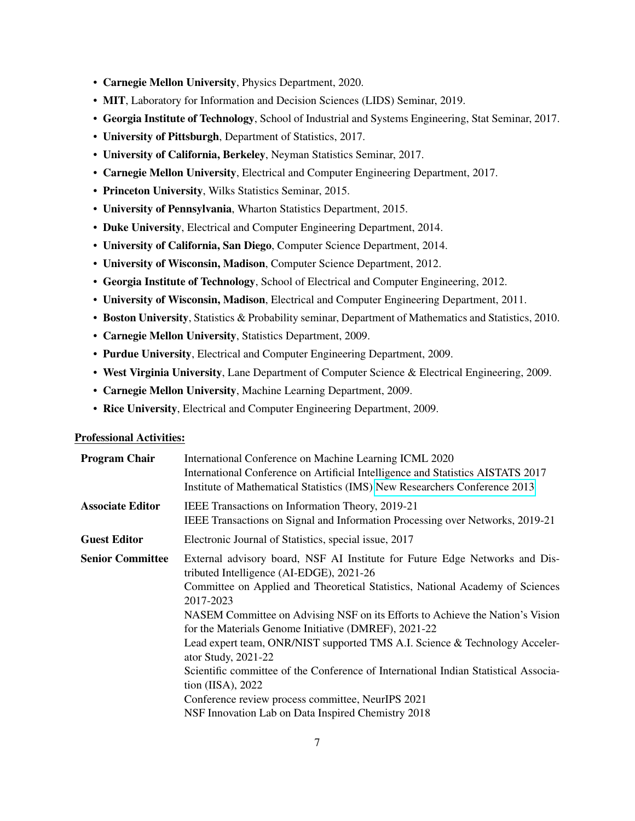- Carnegie Mellon University, Physics Department, 2020.
- MIT, Laboratory for Information and Decision Sciences (LIDS) Seminar, 2019.
- Georgia Institute of Technology, School of Industrial and Systems Engineering, Stat Seminar, 2017.
- University of Pittsburgh, Department of Statistics, 2017.
- University of California, Berkeley, Neyman Statistics Seminar, 2017.
- Carnegie Mellon University, Electrical and Computer Engineering Department, 2017.
- Princeton University, Wilks Statistics Seminar, 2015.
- University of Pennsylvania, Wharton Statistics Department, 2015.
- Duke University, Electrical and Computer Engineering Department, 2014.
- University of California, San Diego, Computer Science Department, 2014.
- University of Wisconsin, Madison, Computer Science Department, 2012.
- Georgia Institute of Technology, School of Electrical and Computer Engineering, 2012.
- University of Wisconsin, Madison, Electrical and Computer Engineering Department, 2011.
- Boston University, Statistics & Probability seminar, Department of Mathematics and Statistics, 2010.
- Carnegie Mellon University, Statistics Department, 2009.
- Purdue University, Electrical and Computer Engineering Department, 2009.
- West Virginia University, Lane Department of Computer Science & Electrical Engineering, 2009.
- Carnegie Mellon University, Machine Learning Department, 2009.
- Rice University, Electrical and Computer Engineering Department, 2009.

#### Professional Activities:

| <b>Program Chair</b>    | International Conference on Machine Learning ICML 2020<br>International Conference on Artificial Intelligence and Statistics AISTATS 2017<br>Institute of Mathematical Statistics (IMS) New Researchers Conference 2013                                                                                                                                                                                                                                                                                                                                                                                                                                                                     |
|-------------------------|---------------------------------------------------------------------------------------------------------------------------------------------------------------------------------------------------------------------------------------------------------------------------------------------------------------------------------------------------------------------------------------------------------------------------------------------------------------------------------------------------------------------------------------------------------------------------------------------------------------------------------------------------------------------------------------------|
| <b>Associate Editor</b> | IEEE Transactions on Information Theory, 2019-21<br>IEEE Transactions on Signal and Information Processing over Networks, 2019-21                                                                                                                                                                                                                                                                                                                                                                                                                                                                                                                                                           |
| <b>Guest Editor</b>     | Electronic Journal of Statistics, special issue, 2017                                                                                                                                                                                                                                                                                                                                                                                                                                                                                                                                                                                                                                       |
| <b>Senior Committee</b> | External advisory board, NSF AI Institute for Future Edge Networks and Dis-<br>tributed Intelligence (AI-EDGE), 2021-26<br>Committee on Applied and Theoretical Statistics, National Academy of Sciences<br>2017-2023<br>NASEM Committee on Advising NSF on its Efforts to Achieve the Nation's Vision<br>for the Materials Genome Initiative (DMREF), 2021-22<br>Lead expert team, ONR/NIST supported TMS A.I. Science & Technology Acceler-<br>ator Study, 2021-22<br>Scientific committee of the Conference of International Indian Statistical Associa-<br>tion (IISA), 2022<br>Conference review process committee, NeurIPS 2021<br>NSF Innovation Lab on Data Inspired Chemistry 2018 |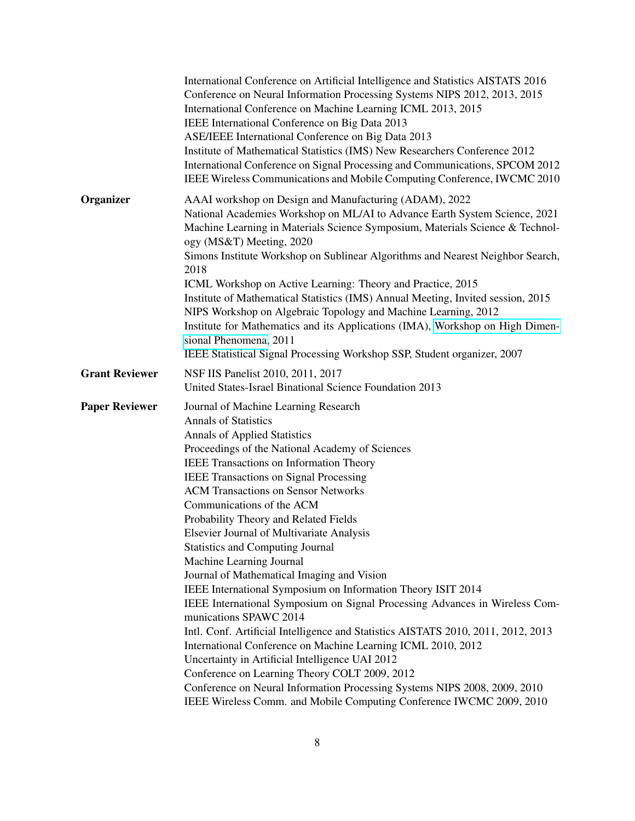|                       | International Conference on Artificial Intelligence and Statistics AISTATS 2016<br>Conference on Neural Information Processing Systems NIPS 2012, 2013, 2015<br>International Conference on Machine Learning ICML 2013, 2015<br>IEEE International Conference on Big Data 2013<br>ASE/IEEE International Conference on Big Data 2013<br>Institute of Mathematical Statistics (IMS) New Researchers Conference 2012<br>International Conference on Signal Processing and Communications, SPCOM 2012<br>IEEE Wireless Communications and Mobile Computing Conference, IWCMC 2010                                                                                                                                                                                                                                                                                                                                                                                                                                                                                                                                                         |
|-----------------------|----------------------------------------------------------------------------------------------------------------------------------------------------------------------------------------------------------------------------------------------------------------------------------------------------------------------------------------------------------------------------------------------------------------------------------------------------------------------------------------------------------------------------------------------------------------------------------------------------------------------------------------------------------------------------------------------------------------------------------------------------------------------------------------------------------------------------------------------------------------------------------------------------------------------------------------------------------------------------------------------------------------------------------------------------------------------------------------------------------------------------------------|
| Organizer             | AAAI workshop on Design and Manufacturing (ADAM), 2022<br>National Academies Workshop on ML/AI to Advance Earth System Science, 2021<br>Machine Learning in Materials Science Symposium, Materials Science & Technol-<br>ogy (MS&T) Meeting, 2020<br>Simons Institute Workshop on Sublinear Algorithms and Nearest Neighbor Search,<br>2018<br>ICML Workshop on Active Learning: Theory and Practice, 2015<br>Institute of Mathematical Statistics (IMS) Annual Meeting, Invited session, 2015<br>NIPS Workshop on Algebraic Topology and Machine Learning, 2012<br>Institute for Mathematics and its Applications (IMA), Workshop on High Dimen-<br>sional Phenomena, 2011<br>IEEE Statistical Signal Processing Workshop SSP, Student organizer, 2007                                                                                                                                                                                                                                                                                                                                                                                |
| <b>Grant Reviewer</b> | NSF IIS Panelist 2010, 2011, 2017<br>United States-Israel Binational Science Foundation 2013                                                                                                                                                                                                                                                                                                                                                                                                                                                                                                                                                                                                                                                                                                                                                                                                                                                                                                                                                                                                                                           |
| <b>Paper Reviewer</b> | Journal of Machine Learning Research<br><b>Annals of Statistics</b><br><b>Annals of Applied Statistics</b><br>Proceedings of the National Academy of Sciences<br>IEEE Transactions on Information Theory<br><b>IEEE Transactions on Signal Processing</b><br><b>ACM Transactions on Sensor Networks</b><br>Communications of the ACM<br>Probability Theory and Related Fields<br>Elsevier Journal of Multivariate Analysis<br><b>Statistics and Computing Journal</b><br>Machine Learning Journal<br>Journal of Mathematical Imaging and Vision<br>IEEE International Symposium on Information Theory ISIT 2014<br>IEEE International Symposium on Signal Processing Advances in Wireless Com-<br>munications SPAWC 2014<br>Intl. Conf. Artificial Intelligence and Statistics AISTATS 2010, 2011, 2012, 2013<br>International Conference on Machine Learning ICML 2010, 2012<br>Uncertainty in Artificial Intelligence UAI 2012<br>Conference on Learning Theory COLT 2009, 2012<br>Conference on Neural Information Processing Systems NIPS 2008, 2009, 2010<br>IEEE Wireless Comm. and Mobile Computing Conference IWCMC 2009, 2010 |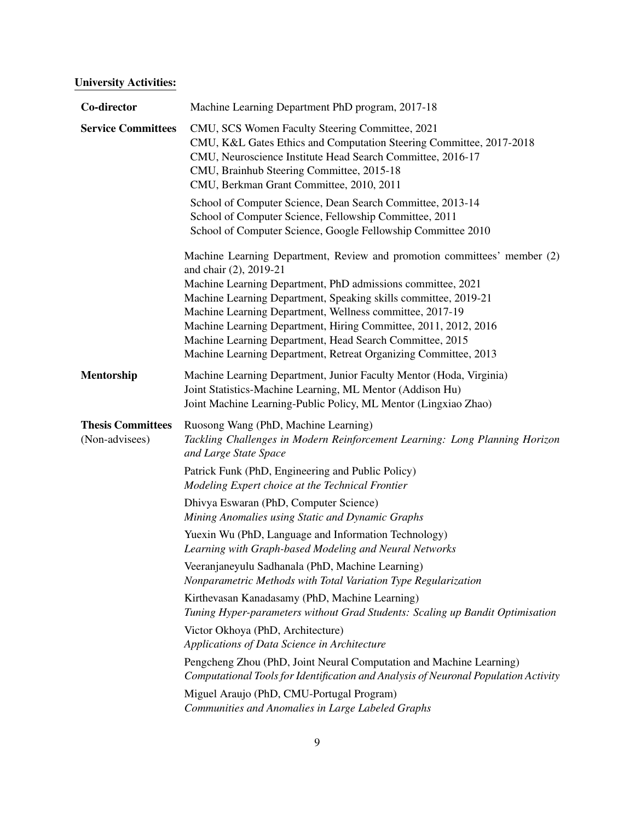# University Activities:

| Co-director                                | Machine Learning Department PhD program, 2017-18                                                                                                                                                                                                                                                                                                                                                                                                                                                   |
|--------------------------------------------|----------------------------------------------------------------------------------------------------------------------------------------------------------------------------------------------------------------------------------------------------------------------------------------------------------------------------------------------------------------------------------------------------------------------------------------------------------------------------------------------------|
| <b>Service Committees</b>                  | CMU, SCS Women Faculty Steering Committee, 2021<br>CMU, K&L Gates Ethics and Computation Steering Committee, 2017-2018<br>CMU, Neuroscience Institute Head Search Committee, 2016-17<br>CMU, Brainhub Steering Committee, 2015-18<br>CMU, Berkman Grant Committee, 2010, 2011                                                                                                                                                                                                                      |
|                                            | School of Computer Science, Dean Search Committee, 2013-14<br>School of Computer Science, Fellowship Committee, 2011<br>School of Computer Science, Google Fellowship Committee 2010                                                                                                                                                                                                                                                                                                               |
|                                            | Machine Learning Department, Review and promotion committees' member (2)<br>and chair (2), 2019-21<br>Machine Learning Department, PhD admissions committee, 2021<br>Machine Learning Department, Speaking skills committee, 2019-21<br>Machine Learning Department, Wellness committee, 2017-19<br>Machine Learning Department, Hiring Committee, 2011, 2012, 2016<br>Machine Learning Department, Head Search Committee, 2015<br>Machine Learning Department, Retreat Organizing Committee, 2013 |
| Mentorship                                 | Machine Learning Department, Junior Faculty Mentor (Hoda, Virginia)<br>Joint Statistics-Machine Learning, ML Mentor (Addison Hu)<br>Joint Machine Learning-Public Policy, ML Mentor (Lingxiao Zhao)                                                                                                                                                                                                                                                                                                |
| <b>Thesis Committees</b><br>(Non-advisees) | Ruosong Wang (PhD, Machine Learning)<br>Tackling Challenges in Modern Reinforcement Learning: Long Planning Horizon<br>and Large State Space                                                                                                                                                                                                                                                                                                                                                       |
|                                            | Patrick Funk (PhD, Engineering and Public Policy)<br>Modeling Expert choice at the Technical Frontier                                                                                                                                                                                                                                                                                                                                                                                              |
|                                            | Dhivya Eswaran (PhD, Computer Science)<br>Mining Anomalies using Static and Dynamic Graphs                                                                                                                                                                                                                                                                                                                                                                                                         |
|                                            | Yuexin Wu (PhD, Language and Information Technology)<br>Learning with Graph-based Modeling and Neural Networks                                                                                                                                                                                                                                                                                                                                                                                     |
|                                            | Veeranjaneyulu Sadhanala (PhD, Machine Learning)<br>Nonparametric Methods with Total Variation Type Regularization                                                                                                                                                                                                                                                                                                                                                                                 |
|                                            | Kirthevasan Kanadasamy (PhD, Machine Learning)<br>Tuning Hyper-parameters without Grad Students: Scaling up Bandit Optimisation                                                                                                                                                                                                                                                                                                                                                                    |
|                                            | Victor Okhoya (PhD, Architecture)<br>Applications of Data Science in Architecture                                                                                                                                                                                                                                                                                                                                                                                                                  |
|                                            | Pengcheng Zhou (PhD, Joint Neural Computation and Machine Learning)<br>Computational Tools for Identification and Analysis of Neuronal Population Activity                                                                                                                                                                                                                                                                                                                                         |
|                                            | Miguel Araujo (PhD, CMU-Portugal Program)<br>Communities and Anomalies in Large Labeled Graphs                                                                                                                                                                                                                                                                                                                                                                                                     |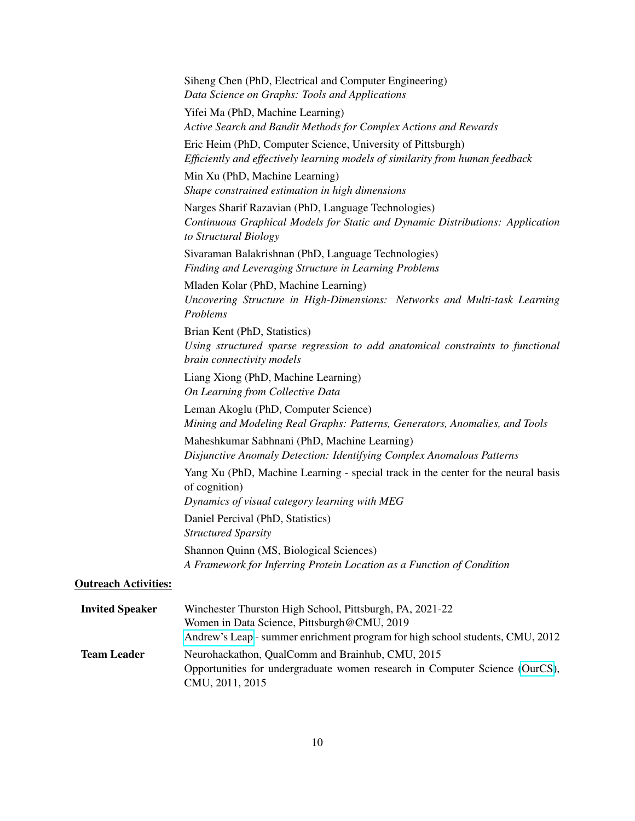|                             | Siheng Chen (PhD, Electrical and Computer Engineering)<br>Data Science on Graphs: Tools and Applications                                                                                 |
|-----------------------------|------------------------------------------------------------------------------------------------------------------------------------------------------------------------------------------|
|                             | Yifei Ma (PhD, Machine Learning)<br>Active Search and Bandit Methods for Complex Actions and Rewards                                                                                     |
|                             | Eric Heim (PhD, Computer Science, University of Pittsburgh)<br>Efficiently and effectively learning models of similarity from human feedback                                             |
|                             | Min Xu (PhD, Machine Learning)<br>Shape constrained estimation in high dimensions                                                                                                        |
|                             | Narges Sharif Razavian (PhD, Language Technologies)<br>Continuous Graphical Models for Static and Dynamic Distributions: Application<br>to Structural Biology                            |
|                             | Sivaraman Balakrishnan (PhD, Language Technologies)<br>Finding and Leveraging Structure in Learning Problems                                                                             |
|                             | Mladen Kolar (PhD, Machine Learning)<br>Uncovering Structure in High-Dimensions: Networks and Multi-task Learning<br>Problems                                                            |
|                             | Brian Kent (PhD, Statistics)<br>Using structured sparse regression to add anatomical constraints to functional<br>brain connectivity models                                              |
|                             | Liang Xiong (PhD, Machine Learning)<br>On Learning from Collective Data                                                                                                                  |
|                             | Leman Akoglu (PhD, Computer Science)<br>Mining and Modeling Real Graphs: Patterns, Generators, Anomalies, and Tools                                                                      |
|                             | Maheshkumar Sabhnani (PhD, Machine Learning)<br>Disjunctive Anomaly Detection: Identifying Complex Anomalous Patterns                                                                    |
|                             | Yang Xu (PhD, Machine Learning - special track in the center for the neural basis<br>of cognition)                                                                                       |
|                             | Dynamics of visual category learning with MEG<br>Daniel Percival (PhD, Statistics)                                                                                                       |
|                             | <b>Structured Sparsity</b>                                                                                                                                                               |
|                             | Shannon Quinn (MS, Biological Sciences)<br>A Framework for Inferring Protein Location as a Function of Condition                                                                         |
| <b>Outreach Activities:</b> |                                                                                                                                                                                          |
| <b>Invited Speaker</b>      | Winchester Thurston High School, Pittsburgh, PA, 2021-22<br>Women in Data Science, Pittsburgh@CMU, 2019<br>Andrew's Leap - summer enrichment program for high school students, CMU, 2012 |
| <b>Team Leader</b>          | Neurohackathon, QualComm and Brainhub, CMU, 2015                                                                                                                                         |

CMU, 2011, 2015

Opportunities for undergraduate women research in Computer Science [\(OurCS\)](http://www.cs.cmu.edu/ourcs/Team_Leaders_and_Projects.html),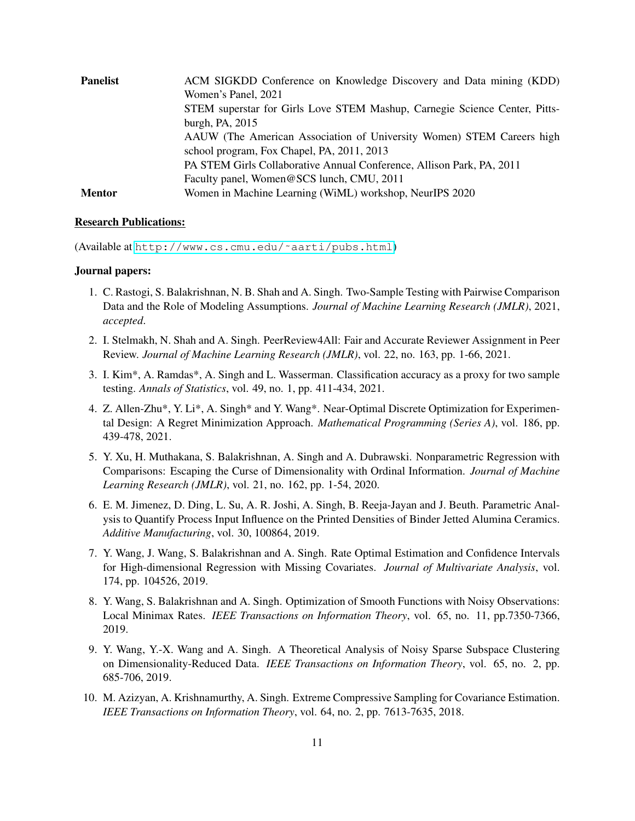| <b>Panelist</b> | ACM SIGKDD Conference on Knowledge Discovery and Data mining (KDD)         |
|-----------------|----------------------------------------------------------------------------|
|                 | Women's Panel, 2021                                                        |
|                 | STEM superstar for Girls Love STEM Mashup, Carnegie Science Center, Pitts- |
|                 | burgh, PA, 2015                                                            |
|                 | AAUW (The American Association of University Women) STEM Careers high      |
|                 | school program, Fox Chapel, PA, 2011, 2013                                 |
|                 | PA STEM Girls Collaborative Annual Conference, Allison Park, PA, 2011      |
|                 | Faculty panel, Women@SCS lunch, CMU, 2011                                  |
| <b>Mentor</b>   | Women in Machine Learning (WiML) workshop, NeurIPS 2020                    |

#### Research Publications:

(Available at [http://www.cs.cmu.edu/˜aarti/pubs.html](http://www.cs.cmu.edu/~aarti/pubs.html))

# Journal papers:

- 1. C. Rastogi, S. Balakrishnan, N. B. Shah and A. Singh. Two-Sample Testing with Pairwise Comparison Data and the Role of Modeling Assumptions. *Journal of Machine Learning Research (JMLR)*, 2021, *accepted*.
- 2. I. Stelmakh, N. Shah and A. Singh. PeerReview4All: Fair and Accurate Reviewer Assignment in Peer Review. *Journal of Machine Learning Research (JMLR)*, vol. 22, no. 163, pp. 1-66, 2021.
- 3. I. Kim\*, A. Ramdas\*, A. Singh and L. Wasserman. Classification accuracy as a proxy for two sample testing. *Annals of Statistics*, vol. 49, no. 1, pp. 411-434, 2021.
- 4. Z. Allen-Zhu\*, Y. Li\*, A. Singh\* and Y. Wang\*. Near-Optimal Discrete Optimization for Experimental Design: A Regret Minimization Approach. *Mathematical Programming (Series A)*, vol. 186, pp. 439-478, 2021.
- 5. Y. Xu, H. Muthakana, S. Balakrishnan, A. Singh and A. Dubrawski. Nonparametric Regression with Comparisons: Escaping the Curse of Dimensionality with Ordinal Information. *Journal of Machine Learning Research (JMLR)*, vol. 21, no. 162, pp. 1-54, 2020.
- 6. E. M. Jimenez, D. Ding, L. Su, A. R. Joshi, A. Singh, B. Reeja-Jayan and J. Beuth. Parametric Analysis to Quantify Process Input Influence on the Printed Densities of Binder Jetted Alumina Ceramics. *Additive Manufacturing*, vol. 30, 100864, 2019.
- 7. Y. Wang, J. Wang, S. Balakrishnan and A. Singh. Rate Optimal Estimation and Confidence Intervals for High-dimensional Regression with Missing Covariates. *Journal of Multivariate Analysis*, vol. 174, pp. 104526, 2019.
- 8. Y. Wang, S. Balakrishnan and A. Singh. Optimization of Smooth Functions with Noisy Observations: Local Minimax Rates. *IEEE Transactions on Information Theory*, vol. 65, no. 11, pp.7350-7366, 2019.
- 9. Y. Wang, Y.-X. Wang and A. Singh. A Theoretical Analysis of Noisy Sparse Subspace Clustering on Dimensionality-Reduced Data. *IEEE Transactions on Information Theory*, vol. 65, no. 2, pp. 685-706, 2019.
- 10. M. Azizyan, A. Krishnamurthy, A. Singh. Extreme Compressive Sampling for Covariance Estimation. *IEEE Transactions on Information Theory*, vol. 64, no. 2, pp. 7613-7635, 2018.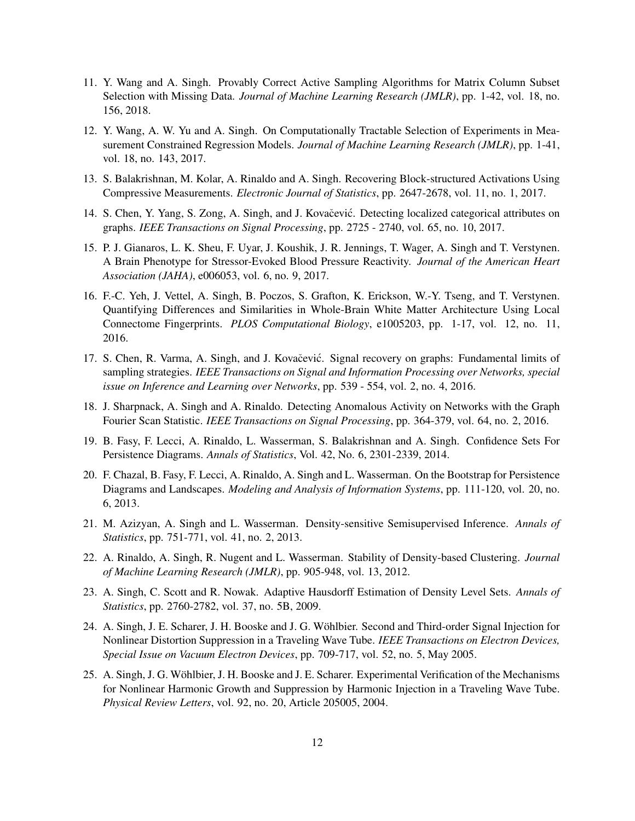- 11. Y. Wang and A. Singh. Provably Correct Active Sampling Algorithms for Matrix Column Subset Selection with Missing Data. *Journal of Machine Learning Research (JMLR)*, pp. 1-42, vol. 18, no. 156, 2018.
- 12. Y. Wang, A. W. Yu and A. Singh. On Computationally Tractable Selection of Experiments in Measurement Constrained Regression Models. *Journal of Machine Learning Research (JMLR)*, pp. 1-41, vol. 18, no. 143, 2017.
- 13. S. Balakrishnan, M. Kolar, A. Rinaldo and A. Singh. Recovering Block-structured Activations Using Compressive Measurements. *Electronic Journal of Statistics*, pp. 2647-2678, vol. 11, no. 1, 2017.
- 14. S. Chen, Y. Yang, S. Zong, A. Singh, and J. Kovačević. Detecting localized categorical attributes on graphs. *IEEE Transactions on Signal Processing*, pp. 2725 - 2740, vol. 65, no. 10, 2017.
- 15. P. J. Gianaros, L. K. Sheu, F. Uyar, J. Koushik, J. R. Jennings, T. Wager, A. Singh and T. Verstynen. A Brain Phenotype for Stressor-Evoked Blood Pressure Reactivity. *Journal of the American Heart Association (JAHA)*, e006053, vol. 6, no. 9, 2017.
- 16. F.-C. Yeh, J. Vettel, A. Singh, B. Poczos, S. Grafton, K. Erickson, W.-Y. Tseng, and T. Verstynen. Quantifying Differences and Similarities in Whole-Brain White Matter Architecture Using Local Connectome Fingerprints. *PLOS Computational Biology*, e1005203, pp. 1-17, vol. 12, no. 11, 2016.
- 17. S. Chen, R. Varma, A. Singh, and J. Kovačević. Signal recovery on graphs: Fundamental limits of sampling strategies. *IEEE Transactions on Signal and Information Processing over Networks, special issue on Inference and Learning over Networks*, pp. 539 - 554, vol. 2, no. 4, 2016.
- 18. J. Sharpnack, A. Singh and A. Rinaldo. Detecting Anomalous Activity on Networks with the Graph Fourier Scan Statistic. *IEEE Transactions on Signal Processing*, pp. 364-379, vol. 64, no. 2, 2016.
- 19. B. Fasy, F. Lecci, A. Rinaldo, L. Wasserman, S. Balakrishnan and A. Singh. Confidence Sets For Persistence Diagrams. *Annals of Statistics*, Vol. 42, No. 6, 2301-2339, 2014.
- 20. F. Chazal, B. Fasy, F. Lecci, A. Rinaldo, A. Singh and L. Wasserman. On the Bootstrap for Persistence Diagrams and Landscapes. *Modeling and Analysis of Information Systems*, pp. 111-120, vol. 20, no. 6, 2013.
- 21. M. Azizyan, A. Singh and L. Wasserman. Density-sensitive Semisupervised Inference. *Annals of Statistics*, pp. 751-771, vol. 41, no. 2, 2013.
- 22. A. Rinaldo, A. Singh, R. Nugent and L. Wasserman. Stability of Density-based Clustering. *Journal of Machine Learning Research (JMLR)*, pp. 905-948, vol. 13, 2012.
- 23. A. Singh, C. Scott and R. Nowak. Adaptive Hausdorff Estimation of Density Level Sets. *Annals of Statistics*, pp. 2760-2782, vol. 37, no. 5B, 2009.
- 24. A. Singh, J. E. Scharer, J. H. Booske and J. G. Wohlbier. Second and Third-order Signal Injection for ¨ Nonlinear Distortion Suppression in a Traveling Wave Tube. *IEEE Transactions on Electron Devices, Special Issue on Vacuum Electron Devices*, pp. 709-717, vol. 52, no. 5, May 2005.
- 25. A. Singh, J. G. Wohlbier, J. H. Booske and J. E. Scharer. Experimental Verification of the Mechanisms ¨ for Nonlinear Harmonic Growth and Suppression by Harmonic Injection in a Traveling Wave Tube. *Physical Review Letters*, vol. 92, no. 20, Article 205005, 2004.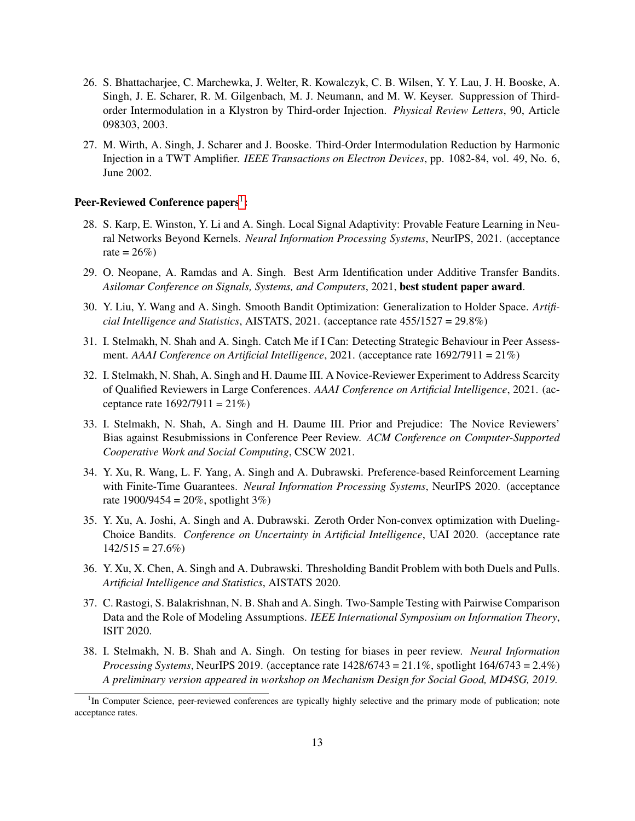- 26. S. Bhattacharjee, C. Marchewka, J. Welter, R. Kowalczyk, C. B. Wilsen, Y. Y. Lau, J. H. Booske, A. Singh, J. E. Scharer, R. M. Gilgenbach, M. J. Neumann, and M. W. Keyser. Suppression of Thirdorder Intermodulation in a Klystron by Third-order Injection. *Physical Review Letters*, 90, Article 098303, 2003.
- 27. M. Wirth, A. Singh, J. Scharer and J. Booske. Third-Order Intermodulation Reduction by Harmonic Injection in a TWT Amplifier. *IEEE Transactions on Electron Devices*, pp. 1082-84, vol. 49, No. 6, June 2002.

# Peer-Reviewed Conference papers<sup>[1](#page-12-0)</sup>:

- 28. S. Karp, E. Winston, Y. Li and A. Singh. Local Signal Adaptivity: Provable Feature Learning in Neural Networks Beyond Kernels. *Neural Information Processing Systems*, NeurIPS, 2021. (acceptance rate =  $26\%$ )
- 29. O. Neopane, A. Ramdas and A. Singh. Best Arm Identification under Additive Transfer Bandits. *Asilomar Conference on Signals, Systems, and Computers*, 2021, best student paper award.
- 30. Y. Liu, Y. Wang and A. Singh. Smooth Bandit Optimization: Generalization to Holder Space. *Artificial Intelligence and Statistics*, AISTATS, 2021. (acceptance rate 455/1527 = 29.8%)
- 31. I. Stelmakh, N. Shah and A. Singh. Catch Me if I Can: Detecting Strategic Behaviour in Peer Assessment. *AAAI Conference on Artificial Intelligence*, 2021. (acceptance rate 1692/7911 = 21%)
- 32. I. Stelmakh, N. Shah, A. Singh and H. Daume III. A Novice-Reviewer Experiment to Address Scarcity of Qualified Reviewers in Large Conferences. *AAAI Conference on Artificial Intelligence*, 2021. (acceptance rate  $1692/7911 = 21\%$
- 33. I. Stelmakh, N. Shah, A. Singh and H. Daume III. Prior and Prejudice: The Novice Reviewers' Bias against Resubmissions in Conference Peer Review. *ACM Conference on Computer-Supported Cooperative Work and Social Computing*, CSCW 2021.
- 34. Y. Xu, R. Wang, L. F. Yang, A. Singh and A. Dubrawski. Preference-based Reinforcement Learning with Finite-Time Guarantees. *Neural Information Processing Systems*, NeurIPS 2020. (acceptance rate  $1900/9454 = 20\%$ , spotlight 3%)
- 35. Y. Xu, A. Joshi, A. Singh and A. Dubrawski. Zeroth Order Non-convex optimization with Dueling-Choice Bandits. *Conference on Uncertainty in Artificial Intelligence*, UAI 2020. (acceptance rate  $142/515 = 27.6\%)$
- 36. Y. Xu, X. Chen, A. Singh and A. Dubrawski. Thresholding Bandit Problem with both Duels and Pulls. *Artificial Intelligence and Statistics*, AISTATS 2020.
- 37. C. Rastogi, S. Balakrishnan, N. B. Shah and A. Singh. Two-Sample Testing with Pairwise Comparison Data and the Role of Modeling Assumptions. *IEEE International Symposium on Information Theory*, ISIT 2020.
- 38. I. Stelmakh, N. B. Shah and A. Singh. On testing for biases in peer review. *Neural Information Processing Systems*, NeurIPS 2019. (acceptance rate 1428/6743 = 21.1%, spotlight 164/6743 = 2.4%) *A preliminary version appeared in workshop on Mechanism Design for Social Good, MD4SG, 2019.*

<span id="page-12-0"></span><sup>&</sup>lt;sup>1</sup>In Computer Science, peer-reviewed conferences are typically highly selective and the primary mode of publication; note acceptance rates.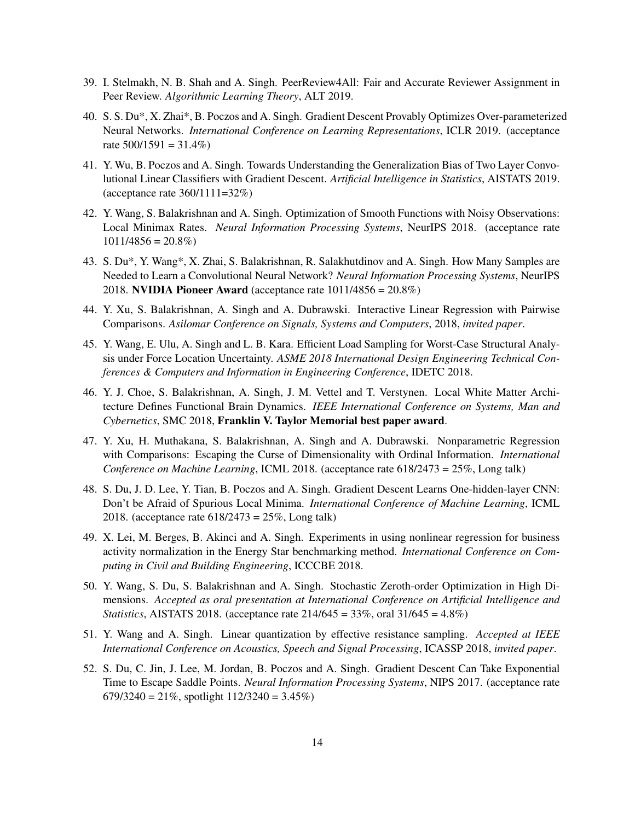- 39. I. Stelmakh, N. B. Shah and A. Singh. PeerReview4All: Fair and Accurate Reviewer Assignment in Peer Review. *Algorithmic Learning Theory*, ALT 2019.
- 40. S. S. Du\*, X. Zhai\*, B. Poczos and A. Singh. Gradient Descent Provably Optimizes Over-parameterized Neural Networks. *International Conference on Learning Representations*, ICLR 2019. (acceptance rate  $500/1591 = 31.4\%$
- 41. Y. Wu, B. Poczos and A. Singh. Towards Understanding the Generalization Bias of Two Layer Convolutional Linear Classifiers with Gradient Descent. *Artificial Intelligence in Statistics*, AISTATS 2019. (acceptance rate 360/1111=32%)
- 42. Y. Wang, S. Balakrishnan and A. Singh. Optimization of Smooth Functions with Noisy Observations: Local Minimax Rates. *Neural Information Processing Systems*, NeurIPS 2018. (acceptance rate  $1011/4856 = 20.8\%$
- 43. S. Du\*, Y. Wang\*, X. Zhai, S. Balakrishnan, R. Salakhutdinov and A. Singh. How Many Samples are Needed to Learn a Convolutional Neural Network? *Neural Information Processing Systems*, NeurIPS 2018. NVIDIA Pioneer Award (acceptance rate 1011/4856 = 20.8%)
- 44. Y. Xu, S. Balakrishnan, A. Singh and A. Dubrawski. Interactive Linear Regression with Pairwise Comparisons. *Asilomar Conference on Signals, Systems and Computers*, 2018, *invited paper*.
- 45. Y. Wang, E. Ulu, A. Singh and L. B. Kara. Efficient Load Sampling for Worst-Case Structural Analysis under Force Location Uncertainty. *ASME 2018 International Design Engineering Technical Conferences & Computers and Information in Engineering Conference*, IDETC 2018.
- 46. Y. J. Choe, S. Balakrishnan, A. Singh, J. M. Vettel and T. Verstynen. Local White Matter Architecture Defines Functional Brain Dynamics. *IEEE International Conference on Systems, Man and Cybernetics*, SMC 2018, Franklin V. Taylor Memorial best paper award.
- 47. Y. Xu, H. Muthakana, S. Balakrishnan, A. Singh and A. Dubrawski. Nonparametric Regression with Comparisons: Escaping the Curse of Dimensionality with Ordinal Information. *International Conference on Machine Learning*, ICML 2018. (acceptance rate 618/2473 = 25%, Long talk)
- 48. S. Du, J. D. Lee, Y. Tian, B. Poczos and A. Singh. Gradient Descent Learns One-hidden-layer CNN: Don't be Afraid of Spurious Local Minima. *International Conference of Machine Learning*, ICML 2018. (acceptance rate 618/2473 = 25%, Long talk)
- 49. X. Lei, M. Berges, B. Akinci and A. Singh. Experiments in using nonlinear regression for business activity normalization in the Energy Star benchmarking method. *International Conference on Computing in Civil and Building Engineering*, ICCCBE 2018.
- 50. Y. Wang, S. Du, S. Balakrishnan and A. Singh. Stochastic Zeroth-order Optimization in High Dimensions. *Accepted as oral presentation at International Conference on Artificial Intelligence and Statistics*, AISTATS 2018. (acceptance rate 214/645 = 33%, oral 31/645 = 4.8%)
- 51. Y. Wang and A. Singh. Linear quantization by effective resistance sampling. *Accepted at IEEE International Conference on Acoustics, Speech and Signal Processing*, ICASSP 2018, *invited paper*.
- 52. S. Du, C. Jin, J. Lee, M. Jordan, B. Poczos and A. Singh. Gradient Descent Can Take Exponential Time to Escape Saddle Points. *Neural Information Processing Systems*, NIPS 2017. (acceptance rate  $679/3240 = 21\%$ , spotlight  $112/3240 = 3.45\%$ )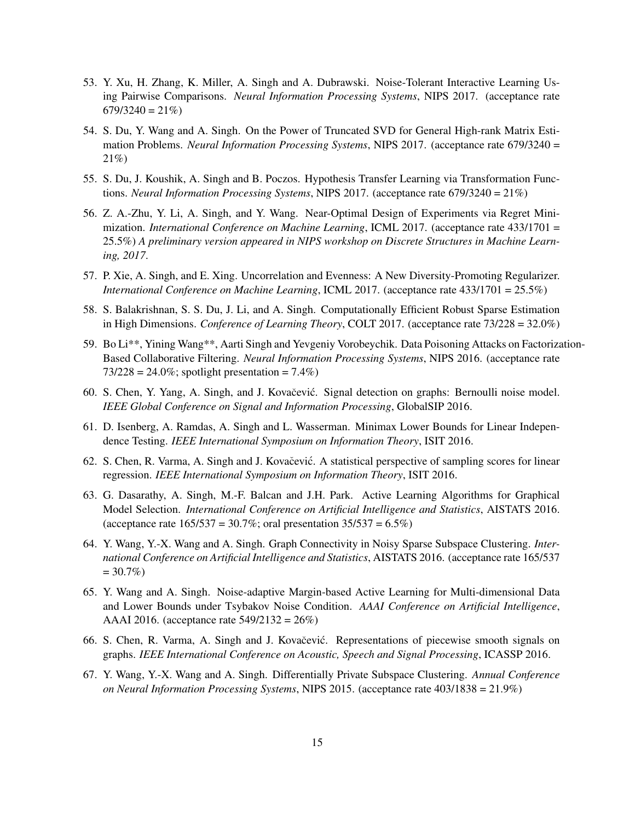- 53. Y. Xu, H. Zhang, K. Miller, A. Singh and A. Dubrawski. Noise-Tolerant Interactive Learning Using Pairwise Comparisons. *Neural Information Processing Systems*, NIPS 2017. (acceptance rate  $679/3240 = 21\%$
- 54. S. Du, Y. Wang and A. Singh. On the Power of Truncated SVD for General High-rank Matrix Estimation Problems. *Neural Information Processing Systems*, NIPS 2017. (acceptance rate 679/3240 = 21%)
- 55. S. Du, J. Koushik, A. Singh and B. Poczos. Hypothesis Transfer Learning via Transformation Functions. *Neural Information Processing Systems*, NIPS 2017. (acceptance rate 679/3240 = 21%)
- 56. Z. A.-Zhu, Y. Li, A. Singh, and Y. Wang. Near-Optimal Design of Experiments via Regret Minimization. *International Conference on Machine Learning*, ICML 2017. (acceptance rate 433/1701 = 25.5%) *A preliminary version appeared in NIPS workshop on Discrete Structures in Machine Learning, 2017*.
- 57. P. Xie, A. Singh, and E. Xing. Uncorrelation and Evenness: A New Diversity-Promoting Regularizer. *International Conference on Machine Learning*, ICML 2017. (acceptance rate 433/1701 = 25.5%)
- 58. S. Balakrishnan, S. S. Du, J. Li, and A. Singh. Computationally Efficient Robust Sparse Estimation in High Dimensions. *Conference of Learning Theory*, COLT 2017. (acceptance rate 73/228 = 32.0%)
- 59. Bo Li\*\*, Yining Wang\*\*, Aarti Singh and Yevgeniy Vorobeychik. Data Poisoning Attacks on Factorization-Based Collaborative Filtering. *Neural Information Processing Systems*, NIPS 2016. (acceptance rate  $73/228 = 24.0\%$ ; spotlight presentation = 7.4%)
- 60. S. Chen, Y. Yang, A. Singh, and J. Kovačević. Signal detection on graphs: Bernoulli noise model. *IEEE Global Conference on Signal and Information Processing*, GlobalSIP 2016.
- 61. D. Isenberg, A. Ramdas, A. Singh and L. Wasserman. Minimax Lower Bounds for Linear Independence Testing. *IEEE International Symposium on Information Theory*, ISIT 2016.
- 62. S. Chen, R. Varma, A. Singh and J. Kovačević. A statistical perspective of sampling scores for linear regression. *IEEE International Symposium on Information Theory*, ISIT 2016.
- 63. G. Dasarathy, A. Singh, M.-F. Balcan and J.H. Park. Active Learning Algorithms for Graphical Model Selection. *International Conference on Artificial Intelligence and Statistics*, AISTATS 2016. (acceptance rate  $165/537 = 30.7\%$ ; oral presentation  $35/537 = 6.5\%$ )
- 64. Y. Wang, Y.-X. Wang and A. Singh. Graph Connectivity in Noisy Sparse Subspace Clustering. *International Conference on Artificial Intelligence and Statistics*, AISTATS 2016. (acceptance rate 165/537  $= 30.7\%)$
- 65. Y. Wang and A. Singh. Noise-adaptive Margin-based Active Learning for Multi-dimensional Data and Lower Bounds under Tsybakov Noise Condition. *AAAI Conference on Artificial Intelligence*, AAAI 2016. (acceptance rate 549/2132 = 26%)
- 66. S. Chen, R. Varma, A. Singh and J. Kovačević. Representations of piecewise smooth signals on graphs. *IEEE International Conference on Acoustic, Speech and Signal Processing*, ICASSP 2016.
- 67. Y. Wang, Y.-X. Wang and A. Singh. Differentially Private Subspace Clustering. *Annual Conference on Neural Information Processing Systems*, NIPS 2015. (acceptance rate 403/1838 = 21.9%)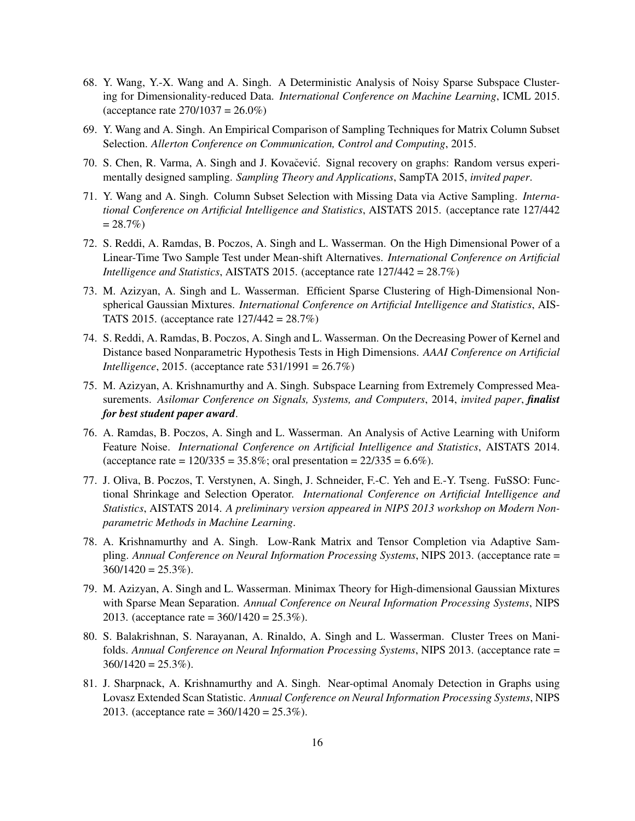- 68. Y. Wang, Y.-X. Wang and A. Singh. A Deterministic Analysis of Noisy Sparse Subspace Clustering for Dimensionality-reduced Data. *International Conference on Machine Learning*, ICML 2015. (acceptance rate  $270/1037 = 26.0\%)$
- 69. Y. Wang and A. Singh. An Empirical Comparison of Sampling Techniques for Matrix Column Subset Selection. *Allerton Conference on Communication, Control and Computing*, 2015.
- 70. S. Chen, R. Varma, A. Singh and J. Kovačević. Signal recovery on graphs: Random versus experimentally designed sampling. *Sampling Theory and Applications*, SampTA 2015, *invited paper*.
- 71. Y. Wang and A. Singh. Column Subset Selection with Missing Data via Active Sampling. *International Conference on Artificial Intelligence and Statistics*, AISTATS 2015. (acceptance rate 127/442  $= 28.7\%)$
- 72. S. Reddi, A. Ramdas, B. Poczos, A. Singh and L. Wasserman. On the High Dimensional Power of a Linear-Time Two Sample Test under Mean-shift Alternatives. *International Conference on Artificial Intelligence and Statistics*, AISTATS 2015. (acceptance rate 127/442 = 28.7%)
- 73. M. Azizyan, A. Singh and L. Wasserman. Efficient Sparse Clustering of High-Dimensional Nonspherical Gaussian Mixtures. *International Conference on Artificial Intelligence and Statistics*, AIS-TATS 2015. (acceptance rate 127/442 = 28.7%)
- 74. S. Reddi, A. Ramdas, B. Poczos, A. Singh and L. Wasserman. On the Decreasing Power of Kernel and Distance based Nonparametric Hypothesis Tests in High Dimensions. *AAAI Conference on Artificial Intelligence*, 2015. (acceptance rate 531/1991 = 26.7%)
- 75. M. Azizyan, A. Krishnamurthy and A. Singh. Subspace Learning from Extremely Compressed Measurements. *Asilomar Conference on Signals, Systems, and Computers*, 2014, *invited paper*, *finalist for best student paper award*.
- 76. A. Ramdas, B. Poczos, A. Singh and L. Wasserman. An Analysis of Active Learning with Uniform Feature Noise. *International Conference on Artificial Intelligence and Statistics*, AISTATS 2014. (acceptance rate =  $120/335 = 35.8\%$ ; oral presentation =  $22/335 = 6.6\%$ ).
- 77. J. Oliva, B. Poczos, T. Verstynen, A. Singh, J. Schneider, F.-C. Yeh and E.-Y. Tseng. FuSSO: Functional Shrinkage and Selection Operator. *International Conference on Artificial Intelligence and Statistics*, AISTATS 2014. *A preliminary version appeared in NIPS 2013 workshop on Modern Nonparametric Methods in Machine Learning*.
- 78. A. Krishnamurthy and A. Singh. Low-Rank Matrix and Tensor Completion via Adaptive Sampling. *Annual Conference on Neural Information Processing Systems*, NIPS 2013. (acceptance rate =  $360/1420 = 25.3\%$ ).
- 79. M. Azizyan, A. Singh and L. Wasserman. Minimax Theory for High-dimensional Gaussian Mixtures with Sparse Mean Separation. *Annual Conference on Neural Information Processing Systems*, NIPS 2013. (acceptance rate =  $360/1420 = 25.3\%$ ).
- 80. S. Balakrishnan, S. Narayanan, A. Rinaldo, A. Singh and L. Wasserman. Cluster Trees on Manifolds. *Annual Conference on Neural Information Processing Systems*, NIPS 2013. (acceptance rate =  $360/1420 = 25.3\%$ ).
- 81. J. Sharpnack, A. Krishnamurthy and A. Singh. Near-optimal Anomaly Detection in Graphs using Lovasz Extended Scan Statistic. *Annual Conference on Neural Information Processing Systems*, NIPS 2013. (acceptance rate = 360/1420 = 25.3%).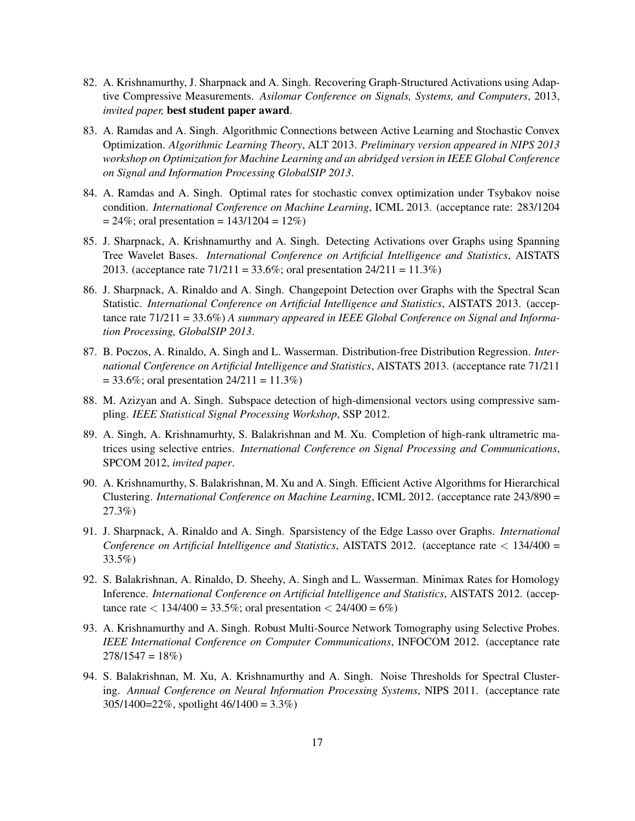- 82. A. Krishnamurthy, J. Sharpnack and A. Singh. Recovering Graph-Structured Activations using Adaptive Compressive Measurements. *Asilomar Conference on Signals, Systems, and Computers*, 2013, *invited paper,* best student paper award.
- 83. A. Ramdas and A. Singh. Algorithmic Connections between Active Learning and Stochastic Convex Optimization. *Algorithmic Learning Theory*, ALT 2013. *Preliminary version appeared in NIPS 2013 workshop on Optimization for Machine Learning and an abridged version in IEEE Global Conference on Signal and Information Processing GlobalSIP 2013*.
- 84. A. Ramdas and A. Singh. Optimal rates for stochastic convex optimization under Tsybakov noise condition. *International Conference on Machine Learning*, ICML 2013. (acceptance rate: 283/1204  $= 24\%$ ; oral presentation  $= 143/1204 = 12\%$
- 85. J. Sharpnack, A. Krishnamurthy and A. Singh. Detecting Activations over Graphs using Spanning Tree Wavelet Bases. *International Conference on Artificial Intelligence and Statistics*, AISTATS 2013. (acceptance rate  $71/211 = 33.6\%$ ; oral presentation  $24/211 = 11.3\%$ )
- 86. J. Sharpnack, A. Rinaldo and A. Singh. Changepoint Detection over Graphs with the Spectral Scan Statistic. *International Conference on Artificial Intelligence and Statistics*, AISTATS 2013. (acceptance rate 71/211 = 33.6%) *A summary appeared in IEEE Global Conference on Signal and Information Processing, GlobalSIP 2013*.
- 87. B. Poczos, A. Rinaldo, A. Singh and L. Wasserman. Distribution-free Distribution Regression. *International Conference on Artificial Intelligence and Statistics*, AISTATS 2013. (acceptance rate 71/211  $= 33.6\%$ ; oral presentation  $24/211 = 11.3\%$ )
- 88. M. Azizyan and A. Singh. Subspace detection of high-dimensional vectors using compressive sampling. *IEEE Statistical Signal Processing Workshop*, SSP 2012.
- 89. A. Singh, A. Krishnamurhty, S. Balakrishnan and M. Xu. Completion of high-rank ultrametric matrices using selective entries. *International Conference on Signal Processing and Communications*, SPCOM 2012, *invited paper*.
- 90. A. Krishnamurthy, S. Balakrishnan, M. Xu and A. Singh. Efficient Active Algorithms for Hierarchical Clustering. *International Conference on Machine Learning*, ICML 2012. (acceptance rate 243/890 = 27.3%)
- 91. J. Sharpnack, A. Rinaldo and A. Singh. Sparsistency of the Edge Lasso over Graphs. *International Conference on Artificial Intelligence and Statistics*, AISTATS 2012. (acceptance rate < 134/400 = 33.5%)
- 92. S. Balakrishnan, A. Rinaldo, D. Sheehy, A. Singh and L. Wasserman. Minimax Rates for Homology Inference. *International Conference on Artificial Intelligence and Statistics*, AISTATS 2012. (acceptance rate  $\langle 134/400 = 33.5\%$ ; oral presentation  $\langle 24/400 = 6\% \rangle$
- 93. A. Krishnamurthy and A. Singh. Robust Multi-Source Network Tomography using Selective Probes. *IEEE International Conference on Computer Communications*, INFOCOM 2012. (acceptance rate  $278/1547 = 18\%)$
- 94. S. Balakrishnan, M. Xu, A. Krishnamurthy and A. Singh. Noise Thresholds for Spectral Clustering. *Annual Conference on Neural Information Processing Systems*, NIPS 2011. (acceptance rate 305/1400=22%, spotlight 46/1400 = 3.3%)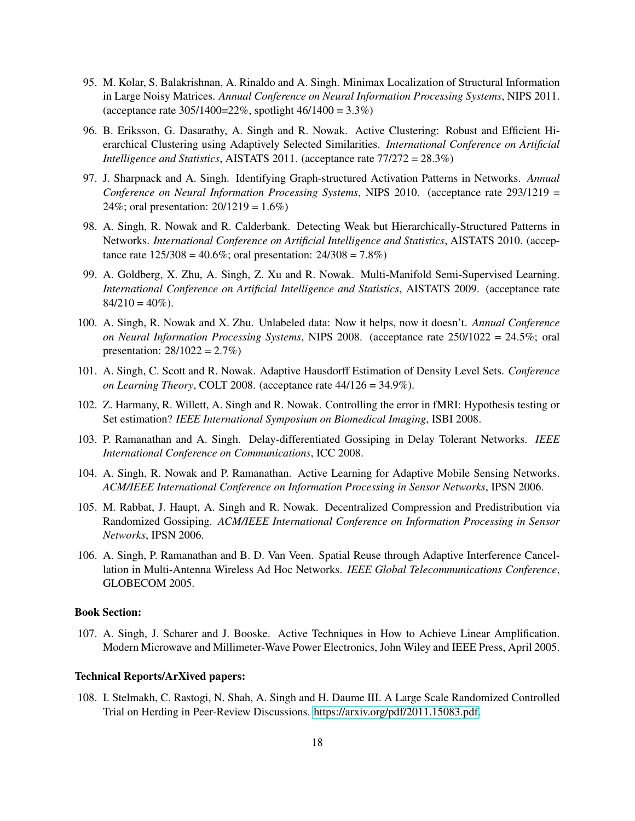- 95. M. Kolar, S. Balakrishnan, A. Rinaldo and A. Singh. Minimax Localization of Structural Information in Large Noisy Matrices. *Annual Conference on Neural Information Processing Systems*, NIPS 2011. (acceptance rate  $305/1400=22\%$ , spotlight  $46/1400 = 3.3\%$ )
- 96. B. Eriksson, G. Dasarathy, A. Singh and R. Nowak. Active Clustering: Robust and Efficient Hierarchical Clustering using Adaptively Selected Similarities. *International Conference on Artificial Intelligence and Statistics*, AISTATS 2011. (acceptance rate 77/272 = 28.3%)
- 97. J. Sharpnack and A. Singh. Identifying Graph-structured Activation Patterns in Networks. *Annual Conference on Neural Information Processing Systems*, NIPS 2010. (acceptance rate 293/1219 = 24%; oral presentation: 20/1219 = 1.6%)
- 98. A. Singh, R. Nowak and R. Calderbank. Detecting Weak but Hierarchically-Structured Patterns in Networks. *International Conference on Artificial Intelligence and Statistics*, AISTATS 2010. (acceptance rate  $125/308 = 40.6\%$ ; oral presentation:  $24/308 = 7.8\%$ )
- 99. A. Goldberg, X. Zhu, A. Singh, Z. Xu and R. Nowak. Multi-Manifold Semi-Supervised Learning. *International Conference on Artificial Intelligence and Statistics*, AISTATS 2009. (acceptance rate  $84/210 = 40\%$ ).
- 100. A. Singh, R. Nowak and X. Zhu. Unlabeled data: Now it helps, now it doesn't. *Annual Conference on Neural Information Processing Systems*, NIPS 2008. (acceptance rate 250/1022 = 24.5%; oral presentation:  $28/1022 = 2.7\%)$
- 101. A. Singh, C. Scott and R. Nowak. Adaptive Hausdorff Estimation of Density Level Sets. *Conference on Learning Theory*, COLT 2008. (acceptance rate 44/126 = 34.9%).
- 102. Z. Harmany, R. Willett, A. Singh and R. Nowak. Controlling the error in fMRI: Hypothesis testing or Set estimation? *IEEE International Symposium on Biomedical Imaging*, ISBI 2008.
- 103. P. Ramanathan and A. Singh. Delay-differentiated Gossiping in Delay Tolerant Networks. *IEEE International Conference on Communications*, ICC 2008.
- 104. A. Singh, R. Nowak and P. Ramanathan. Active Learning for Adaptive Mobile Sensing Networks. *ACM/IEEE International Conference on Information Processing in Sensor Networks*, IPSN 2006.
- 105. M. Rabbat, J. Haupt, A. Singh and R. Nowak. Decentralized Compression and Predistribution via Randomized Gossiping. *ACM/IEEE International Conference on Information Processing in Sensor Networks*, IPSN 2006.
- 106. A. Singh, P. Ramanathan and B. D. Van Veen. Spatial Reuse through Adaptive Interference Cancellation in Multi-Antenna Wireless Ad Hoc Networks. *IEEE Global Telecommunications Conference*, GLOBECOM 2005.

### Book Section:

107. A. Singh, J. Scharer and J. Booske. Active Techniques in How to Achieve Linear Amplification. Modern Microwave and Millimeter-Wave Power Electronics, John Wiley and IEEE Press, April 2005.

#### Technical Reports/ArXived papers:

108. I. Stelmakh, C. Rastogi, N. Shah, A. Singh and H. Daume III. A Large Scale Randomized Controlled Trial on Herding in Peer-Review Discussions. [https://arxiv.org/pdf/2011.15083.pdf.](https://arxiv.org/pdf/2011.15083.pdf)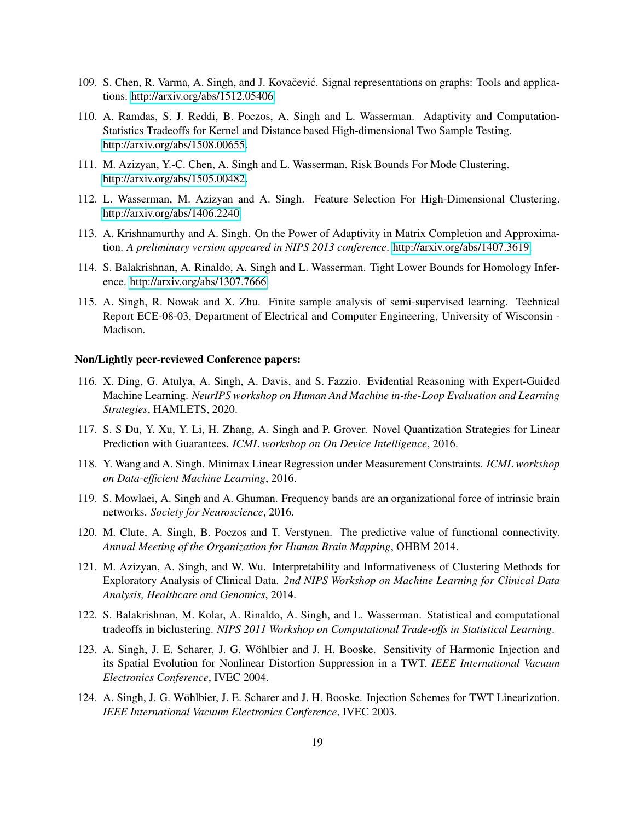- 109. S. Chen, R. Varma, A. Singh, and J. Kovačević. Signal representations on graphs: Tools and applications. [http://arxiv.org/abs/1512.05406.](http://arxiv.org/abs/1512.05406)
- 110. A. Ramdas, S. J. Reddi, B. Poczos, A. Singh and L. Wasserman. Adaptivity and Computation-Statistics Tradeoffs for Kernel and Distance based High-dimensional Two Sample Testing. [http://arxiv.org/abs/1508.00655.](http://arxiv.org/abs/1508.00655)
- 111. M. Azizyan, Y.-C. Chen, A. Singh and L. Wasserman. Risk Bounds For Mode Clustering. [http://arxiv.org/abs/1505.00482.](http://arxiv.org/abs/1505.00482)
- 112. L. Wasserman, M. Azizyan and A. Singh. Feature Selection For High-Dimensional Clustering. [http://arxiv.org/abs/1406.2240.](http://arxiv.org/abs/1406.2240)
- 113. A. Krishnamurthy and A. Singh. On the Power of Adaptivity in Matrix Completion and Approximation. *A preliminary version appeared in NIPS 2013 conference*. [http://arxiv.org/abs/1407.3619.](http://arxiv.org/abs/1407.3619)
- 114. S. Balakrishnan, A. Rinaldo, A. Singh and L. Wasserman. Tight Lower Bounds for Homology Inference. [http://arxiv.org/abs/1307.7666.](http://arxiv.org/abs/1307.7666)
- 115. A. Singh, R. Nowak and X. Zhu. Finite sample analysis of semi-supervised learning. Technical Report ECE-08-03, Department of Electrical and Computer Engineering, University of Wisconsin - Madison.

# Non/Lightly peer-reviewed Conference papers:

- 116. X. Ding, G. Atulya, A. Singh, A. Davis, and S. Fazzio. Evidential Reasoning with Expert-Guided Machine Learning. *NeurIPS workshop on Human And Machine in-the-Loop Evaluation and Learning Strategies*, HAMLETS, 2020.
- 117. S. S Du, Y. Xu, Y. Li, H. Zhang, A. Singh and P. Grover. Novel Quantization Strategies for Linear Prediction with Guarantees. *ICML workshop on On Device Intelligence*, 2016.
- 118. Y. Wang and A. Singh. Minimax Linear Regression under Measurement Constraints. *ICML workshop on Data-efficient Machine Learning*, 2016.
- 119. S. Mowlaei, A. Singh and A. Ghuman. Frequency bands are an organizational force of intrinsic brain networks. *Society for Neuroscience*, 2016.
- 120. M. Clute, A. Singh, B. Poczos and T. Verstynen. The predictive value of functional connectivity. *Annual Meeting of the Organization for Human Brain Mapping*, OHBM 2014.
- 121. M. Azizyan, A. Singh, and W. Wu. Interpretability and Informativeness of Clustering Methods for Exploratory Analysis of Clinical Data. *2nd NIPS Workshop on Machine Learning for Clinical Data Analysis, Healthcare and Genomics*, 2014.
- 122. S. Balakrishnan, M. Kolar, A. Rinaldo, A. Singh, and L. Wasserman. Statistical and computational tradeoffs in biclustering. *NIPS 2011 Workshop on Computational Trade-offs in Statistical Learning*.
- 123. A. Singh, J. E. Scharer, J. G. Wöhlbier and J. H. Booske. Sensitivity of Harmonic Injection and its Spatial Evolution for Nonlinear Distortion Suppression in a TWT. *IEEE International Vacuum Electronics Conference*, IVEC 2004.
- 124. A. Singh, J. G. Wohlbier, J. E. Scharer and J. H. Booske. Injection Schemes for TWT Linearization. ¨ *IEEE International Vacuum Electronics Conference*, IVEC 2003.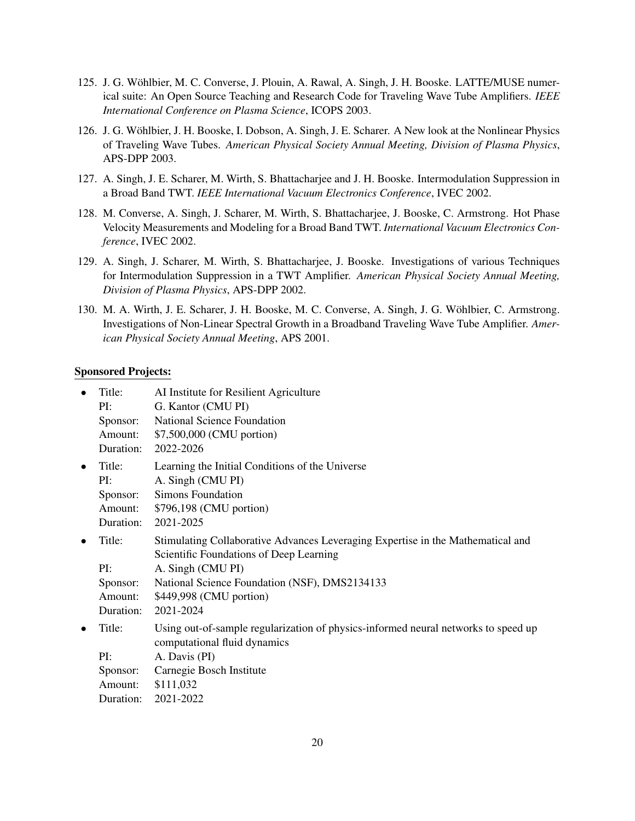- 125. J. G. Wohlbier, M. C. Converse, J. Plouin, A. Rawal, A. Singh, J. H. Booske. LATTE/MUSE numer- ¨ ical suite: An Open Source Teaching and Research Code for Traveling Wave Tube Amplifiers. *IEEE International Conference on Plasma Science*, ICOPS 2003.
- 126. J. G. Wohlbier, J. H. Booske, I. Dobson, A. Singh, J. E. Scharer. A New look at the Nonlinear Physics ¨ of Traveling Wave Tubes. *American Physical Society Annual Meeting, Division of Plasma Physics*, APS-DPP 2003.
- 127. A. Singh, J. E. Scharer, M. Wirth, S. Bhattacharjee and J. H. Booske. Intermodulation Suppression in a Broad Band TWT. *IEEE International Vacuum Electronics Conference*, IVEC 2002.
- 128. M. Converse, A. Singh, J. Scharer, M. Wirth, S. Bhattacharjee, J. Booske, C. Armstrong. Hot Phase Velocity Measurements and Modeling for a Broad Band TWT. *International Vacuum Electronics Conference*, IVEC 2002.
- 129. A. Singh, J. Scharer, M. Wirth, S. Bhattacharjee, J. Booske. Investigations of various Techniques for Intermodulation Suppression in a TWT Amplifier. *American Physical Society Annual Meeting, Division of Plasma Physics*, APS-DPP 2002.
- 130. M. A. Wirth, J. E. Scharer, J. H. Booske, M. C. Converse, A. Singh, J. G. Wohlbier, C. Armstrong. ¨ Investigations of Non-Linear Spectral Growth in a Broadband Traveling Wave Tube Amplifier. *American Physical Society Annual Meeting*, APS 2001.

#### Sponsored Projects:

| <b>National Science Foundation</b><br>\$7,500,000 (CMU portion)<br>2022-2026                                                                                                                                                             |
|------------------------------------------------------------------------------------------------------------------------------------------------------------------------------------------------------------------------------------------|
| Learning the Initial Conditions of the Universe<br>A. Singh (CMU PI)<br><b>Simons Foundation</b><br>\$796,198 (CMU portion)<br>2021-2025                                                                                                 |
| Stimulating Collaborative Advances Leveraging Expertise in the Mathematical and<br>Scientific Foundations of Deep Learning<br>A. Singh (CMU PI)<br>National Science Foundation (NSF), DMS2134133<br>\$449,998 (CMU portion)<br>2021-2024 |
| Using out-of-sample regularization of physics-informed neural networks to speed up<br>computational fluid dynamics<br>A. Davis (PI)<br>Carnegie Bosch Institute<br>\$111,032<br>2021-2022                                                |
|                                                                                                                                                                                                                                          |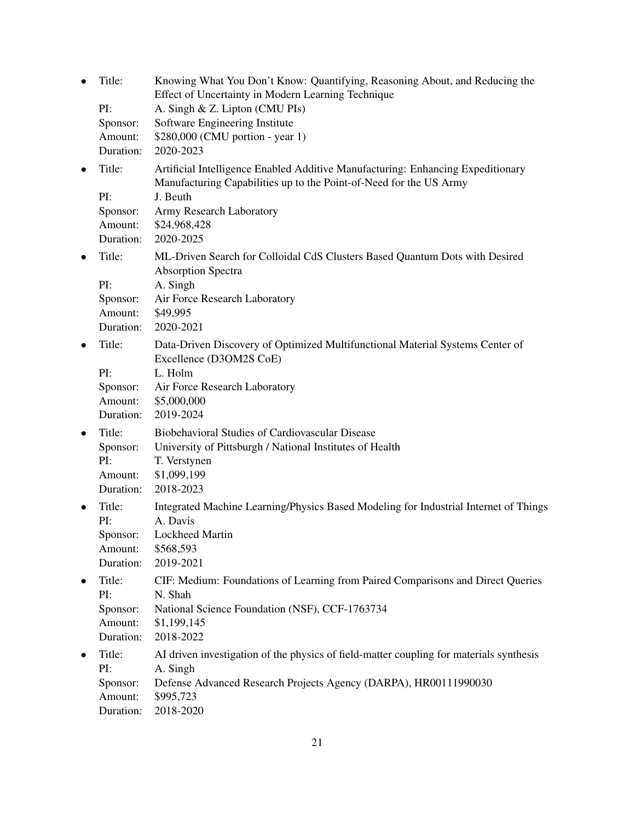| $\bullet$ | Title:                                            | Knowing What You Don't Know: Quantifying, Reasoning About, and Reducing the<br>Effect of Uncertainty in Modern Learning Technique                                                                                          |
|-----------|---------------------------------------------------|----------------------------------------------------------------------------------------------------------------------------------------------------------------------------------------------------------------------------|
|           | PI:<br>Sponsor:<br>Amount:<br>Duration:           | A. Singh & Z. Lipton (CMU PIs)<br>Software Engineering Institute<br>\$280,000 (CMU portion - year 1)<br>2020-2023                                                                                                          |
| $\bullet$ | Title:<br>PI:<br>Sponsor:<br>Amount:<br>Duration: | Artificial Intelligence Enabled Additive Manufacturing: Enhancing Expeditionary<br>Manufacturing Capabilities up to the Point-of-Need for the US Army<br>J. Beuth<br>Army Research Laboratory<br>\$24,968,428<br>2020-2025 |
| $\bullet$ | Title:<br>PI:<br>Sponsor:<br>Amount:<br>Duration: | ML-Driven Search for Colloidal CdS Clusters Based Quantum Dots with Desired<br><b>Absorption Spectra</b><br>A. Singh<br>Air Force Research Laboratory<br>\$49,995<br>2020-2021                                             |
| $\bullet$ | Title:<br>PI:<br>Sponsor:<br>Amount:<br>Duration: | Data-Driven Discovery of Optimized Multifunctional Material Systems Center of<br>Excellence (D3OM2S CoE)<br>L. Holm<br>Air Force Research Laboratory<br>\$5,000,000<br>2019-2024                                           |
| $\bullet$ | Title:<br>Sponsor:<br>PI:<br>Amount:<br>Duration: | Biobehavioral Studies of Cardiovascular Disease<br>University of Pittsburgh / National Institutes of Health<br>T. Verstynen<br>\$1,099,199<br>2018-2023                                                                    |
|           | Title:<br>PI:<br>Sponsor:<br>Amount:<br>Duration: | Integrated Machine Learning/Physics Based Modeling for Industrial Internet of Things<br>A. Davis<br><b>Lockheed Martin</b><br>\$568,593<br>2019-2021                                                                       |
|           | Title:<br>PI:<br>Sponsor:<br>Amount:<br>Duration: | CIF: Medium: Foundations of Learning from Paired Comparisons and Direct Queries<br>N. Shah<br>National Science Foundation (NSF), CCF-1763734<br>\$1,199,145<br>2018-2022                                                   |
|           | Title:<br>PI:<br>Sponsor:<br>Amount:<br>Duration: | AI driven investigation of the physics of field-matter coupling for materials synthesis<br>A. Singh<br>Defense Advanced Research Projects Agency (DARPA), HR00111990030<br>\$995,723<br>2018-2020                          |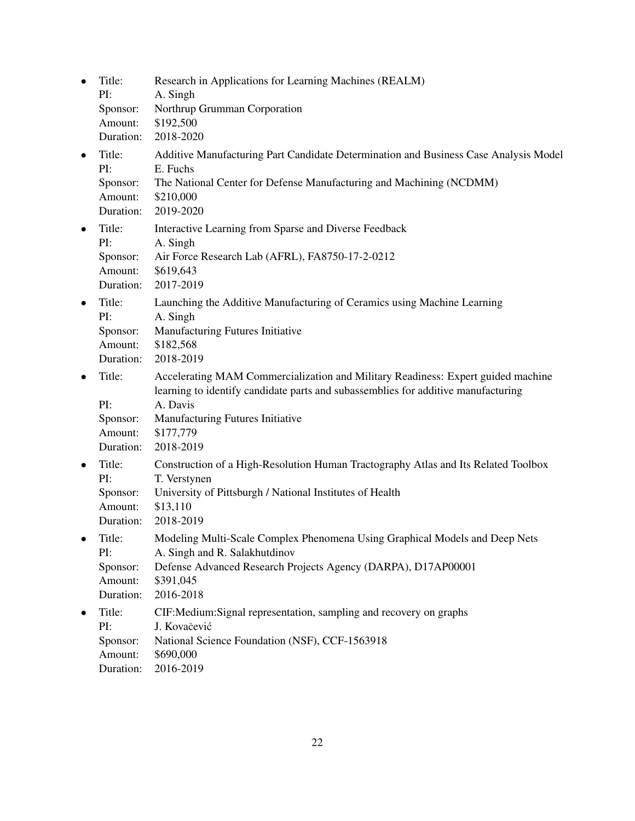| $\bullet$ | Title:<br>PI:<br>Sponsor:<br>Amount:<br>Duration: | Research in Applications for Learning Machines (REALM)<br>A. Singh<br>Northrup Grumman Corporation<br>\$192,500<br>2018-2020                                                                                                                    |
|-----------|---------------------------------------------------|-------------------------------------------------------------------------------------------------------------------------------------------------------------------------------------------------------------------------------------------------|
| $\bullet$ | Title:<br>PI:<br>Sponsor:<br>Amount:<br>Duration: | Additive Manufacturing Part Candidate Determination and Business Case Analysis Model<br>E. Fuchs<br>The National Center for Defense Manufacturing and Machining (NCDMM)<br>\$210,000<br>2019-2020                                               |
| $\bullet$ | Title:<br>PI:<br>Sponsor:<br>Amount:<br>Duration: | Interactive Learning from Sparse and Diverse Feedback<br>A. Singh<br>Air Force Research Lab (AFRL), FA8750-17-2-0212<br>\$619,643<br>2017-2019                                                                                                  |
| $\bullet$ | Title:<br>PI:<br>Sponsor:<br>Amount:<br>Duration: | Launching the Additive Manufacturing of Ceramics using Machine Learning<br>A. Singh<br>Manufacturing Futures Initiative<br>\$182,568<br>2018-2019                                                                                               |
| $\bullet$ | Title:<br>PI:<br>Sponsor:<br>Amount:<br>Duration: | Accelerating MAM Commercialization and Military Readiness: Expert guided machine<br>learning to identify candidate parts and subassemblies for additive manufacturing<br>A. Davis<br>Manufacturing Futures Initiative<br>\$177,779<br>2018-2019 |
| $\bullet$ | Title:<br>PI:<br>Sponsor:<br>Amount:<br>Duration: | Construction of a High-Resolution Human Tractography Atlas and Its Related Toolbox<br>T. Verstynen<br>University of Pittsburgh / National Institutes of Health<br>\$13,110<br>2018-2019                                                         |
|           | Title:<br>PI:<br>Sponsor:<br>Amount:<br>Duration: | Modeling Multi-Scale Complex Phenomena Using Graphical Models and Deep Nets<br>A. Singh and R. Salakhutdinov<br>Defense Advanced Research Projects Agency (DARPA), D17AP00001<br>\$391,045<br>2016-2018                                         |
|           | Title:<br>PI:<br>Sponsor:<br>Amount:<br>Duration: | CIF: Medium: Signal representation, sampling and recovery on graphs<br>J. Kovačević<br>National Science Foundation (NSF), CCF-1563918<br>\$690,000<br>2016-2019                                                                                 |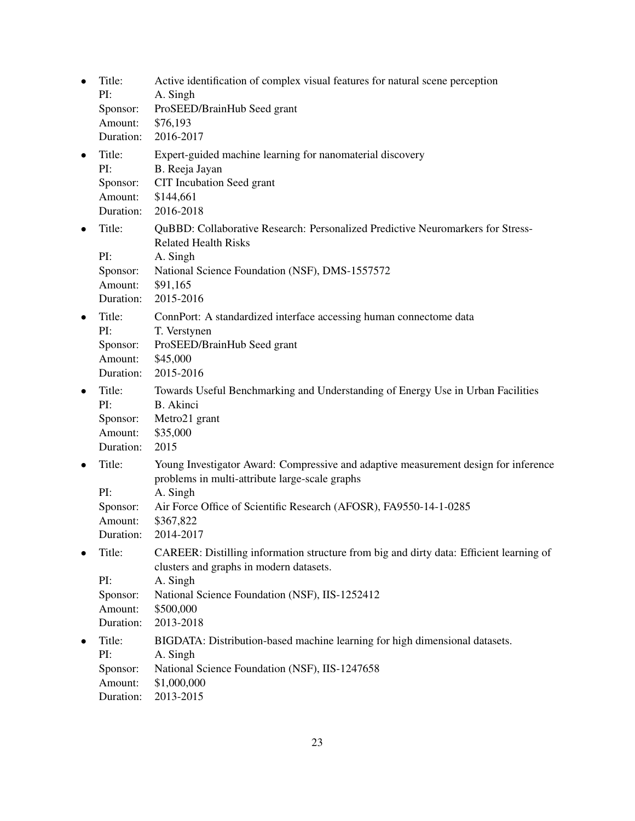| $\bullet$ | Title:<br>PI:<br>Sponsor:<br>Amount:<br>Duration: | Active identification of complex visual features for natural scene perception<br>A. Singh<br>ProSEED/BrainHub Seed grant<br>\$76,193<br>2016-2017                                                                                                |
|-----------|---------------------------------------------------|--------------------------------------------------------------------------------------------------------------------------------------------------------------------------------------------------------------------------------------------------|
| $\bullet$ | Title:<br>PI:<br>Sponsor:<br>Amount:<br>Duration: | Expert-guided machine learning for nanomaterial discovery<br>B. Reeja Jayan<br>CIT Incubation Seed grant<br>\$144,661<br>2016-2018                                                                                                               |
| $\bullet$ | Title:<br>PI:<br>Sponsor:<br>Amount:<br>Duration: | QuBBD: Collaborative Research: Personalized Predictive Neuromarkers for Stress-<br><b>Related Health Risks</b><br>A. Singh<br>National Science Foundation (NSF), DMS-1557572<br>\$91,165<br>2015-2016                                            |
| $\bullet$ | Title:<br>PI:<br>Sponsor:<br>Amount:<br>Duration: | ConnPort: A standardized interface accessing human connectome data<br>T. Verstynen<br>ProSEED/BrainHub Seed grant<br>\$45,000<br>2015-2016                                                                                                       |
| $\bullet$ | Title:<br>PI:<br>Sponsor:<br>Amount:<br>Duration: | Towards Useful Benchmarking and Understanding of Energy Use in Urban Facilities<br><b>B.</b> Akinci<br>Metro21 grant<br>\$35,000<br>2015                                                                                                         |
| $\bullet$ | Title:<br>PI:<br>Sponsor:<br>Amount:<br>Duration: | Young Investigator Award: Compressive and adaptive measurement design for inference<br>problems in multi-attribute large-scale graphs<br>A. Singh<br>Air Force Office of Scientific Research (AFOSR), FA9550-14-1-0285<br>\$367,822<br>2014-2017 |
|           | Title:<br>PI:<br>Sponsor:<br>Amount:<br>Duration: | CAREER: Distilling information structure from big and dirty data: Efficient learning of<br>clusters and graphs in modern datasets.<br>A. Singh<br>National Science Foundation (NSF), IIS-1252412<br>\$500,000<br>2013-2018                       |
| $\bullet$ | Title:<br>PI:<br>Sponsor:<br>Amount:<br>Duration: | BIGDATA: Distribution-based machine learning for high dimensional datasets.<br>A. Singh<br>National Science Foundation (NSF), IIS-1247658<br>\$1,000,000<br>2013-2015                                                                            |